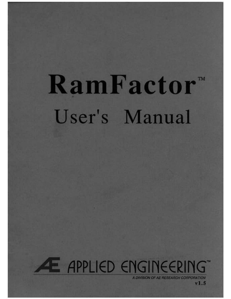# RamFactor" User's Manual



AE RESEARCH CORP

v I . 5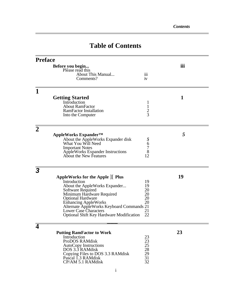# **Table of Contents**

| <b>Preface</b> |                                                                                 |                  |     |
|----------------|---------------------------------------------------------------------------------|------------------|-----|
|                | Before you begin<br>Please read this                                            |                  | iii |
|                | About This Manual                                                               | $\overline{111}$ |     |
|                | Comments?                                                                       | iv               |     |
| 1              |                                                                                 |                  |     |
|                | <b>Getting Started</b>                                                          |                  | 1   |
|                | Introduction                                                                    | 1                |     |
|                | <b>About RamFactor</b>                                                          | $\mathbf{1}$     |     |
|                | <b>RamFactor Installation</b><br>Into the Computer                              | $rac{2}{3}$      |     |
|                |                                                                                 |                  |     |
| 2              |                                                                                 |                  |     |
|                | AppleWorks Expander <sup>™</sup>                                                |                  | 5   |
|                | About the AppleWorks Expander disk                                              |                  |     |
|                | What You Will Need                                                              | 5<br>6<br>7<br>8 |     |
|                | <b>Important Notes</b><br><b>AppleWorks Expander Instructions</b>               |                  |     |
|                | About the New Features                                                          | 12               |     |
|                |                                                                                 |                  |     |
| 3              |                                                                                 |                  |     |
|                | AppleWorks for the Apple I Plus                                                 |                  | 19  |
|                | Introduction                                                                    | 19               |     |
|                | About the AppleWorks Expander                                                   | 19               |     |
|                | Software Required<br>Minimum Hardware Required                                  | 20<br>20         |     |
|                | <b>Optional Hardware</b>                                                        | 20               |     |
|                | <b>Enhancing AppleWorks</b>                                                     | 20               |     |
|                | Alternate AppleWorks Keyboard Commands 21                                       |                  |     |
|                | <b>Lower Case Characters</b><br><b>Optional Shift Key Hardware Modification</b> | 21<br>22         |     |
|                |                                                                                 |                  |     |
|                |                                                                                 |                  |     |
|                | <b>Putting RamFactor to Work</b>                                                |                  | 23  |
|                | Introduction                                                                    | 23               |     |
|                | ProDOS RAMdisk                                                                  |                  |     |
|                | AutoCopy Instructions<br>DOS 3.3 RAMdisk                                        | 23<br>25<br>28   |     |
|                |                                                                                 |                  |     |
|                | Copying Files to DOS 3.3 RAMdisk<br>Pascal 1.3 RAMdisk                          | $\frac{29}{31}$  |     |
|                | CP/AM 5.1 RAMdisk                                                               | 32               |     |
|                |                                                                                 |                  |     |
|                | $\mathbf{1}$                                                                    |                  |     |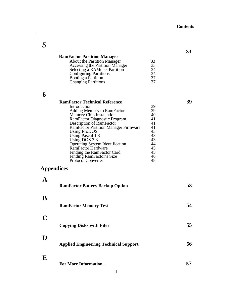|          |                                                                                                                                                                                                                                                                                                                                                                                                                                |                                                                                  | 33 |
|----------|--------------------------------------------------------------------------------------------------------------------------------------------------------------------------------------------------------------------------------------------------------------------------------------------------------------------------------------------------------------------------------------------------------------------------------|----------------------------------------------------------------------------------|----|
|          | <b>RamFactor Partition Manager</b><br><b>About the Partition Manager</b><br><b>Accessing the Partition Manager</b><br>Selecting a RAMdisk Partition<br><b>Configuring Partitions</b><br>Booting a Partition<br><b>Changing Partitions</b>                                                                                                                                                                                      | 33<br>33<br>34<br>34<br>37<br>37                                                 |    |
| 6        |                                                                                                                                                                                                                                                                                                                                                                                                                                |                                                                                  |    |
|          | <b>RamFactor Technical Reference</b><br>Introduction<br>Adding Memory to RamFactor<br>Memory Chip Installation<br>RamFactor Diagnostic Program<br>Description of RamFactor<br><b>RamFactor Partition Manager Firmware</b><br><b>Using ProDOS</b><br>Using Pascal 1.3<br>Using DOS 3.3<br>Operating System Identification<br>RamFactor Hardware<br>Finding the RamFactor Card<br>Finding RamFactor's Size<br>Protocol Converter | 39<br>39<br>40<br>41<br>41<br>41<br>43<br>43<br>43<br>44<br>45<br>45<br>46<br>48 | 39 |
|          | Appendices                                                                                                                                                                                                                                                                                                                                                                                                                     |                                                                                  |    |
| A        | <b>RamFactor Battery Backup Option</b>                                                                                                                                                                                                                                                                                                                                                                                         |                                                                                  | 53 |
| B        | <b>RamFactor Memory Test</b>                                                                                                                                                                                                                                                                                                                                                                                                   |                                                                                  | 54 |
|          | <b>Copying Disks with Filer</b>                                                                                                                                                                                                                                                                                                                                                                                                |                                                                                  | 55 |
| D        | <b>Applied Engineering Technical Support</b>                                                                                                                                                                                                                                                                                                                                                                                   |                                                                                  | 56 |
| $\bf{E}$ | <b>For More Information</b>                                                                                                                                                                                                                                                                                                                                                                                                    |                                                                                  | 57 |

*5*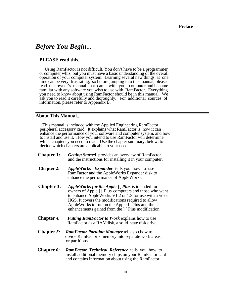# *Before You Begin...*

# **PLEASE read this...**

Using RamFactor is not difficult. You don't have to be a programmer or computer whiz, but you must have a basic understanding of the overall operation of your computer system. Learning several new things at one time can be very frustrating, so before jumping into this manual, please read the owner's manual that came with your computer and become familiar with any software you wish to use with RamFactor. Everything you need to know about using RamFactor should be in this manual. We ask you to read it carefully and thoroughly. For additional sources of information, please refer to Appendix B.

## <span id="page-3-0"></span>**About This Manual...**

This manual is included with the Applied Engineering RamFactor peripheral accessory card. It explains what RamFactor is, how it can enhance the performance of your software and computer system, and how to install and use it. How you intend to use RamFactor will determine which chapters you need to read. Use the chapter summary, below, to decide which chapters are applicable to your needs.

- **Chapter 1:** *Getting Started* provides an overview of RamFactor and the instructions for installing it in your computer.
- **Chapter 2:** *AppleWorks Expander* tells you how to use RamFactor and the AppleWorks Expander disk to enhance the performance of AppleWorks.
- **Chapter 3:** *AppleWorks for the Appl***e ][** *Plus* is intended for owners of Apple ] [ Plus computers and those who want to enhance AppleWorks V1.2 or 1.3 for use with a //e or IIGS. It covers the modifications required to allow AppleWorks to run on the Apple II Plus and the enhancements gained from the ] [ Plus modification.
- **Chapter** *4: Putting RamFactor to Work* explains how to use RamFactor as a RAMdisk, a solid state disk drive.
- **Chapter** *5: RamFactor Partition Manager* tells you how to divide RamFactor's memory into separate work areas, or partitions.
- **Chapter** *6: RamFactor Technical Reference* tells you how to install additional memory chips on your RamFactor card and contains information about using the RamFactor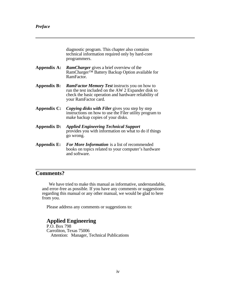<span id="page-4-0"></span>

diagnostic program. This chapter also contains technical information required only by hard-core programmers.

- **Appendix A:** *RamCharger* gives a brief overview of the RamCharger™ Battery Backup Option available for RamFactor.
- **Appendix B:** *RamFactor Memory Test* instructs you on how to run the test included on the AW 2 Expander disk to check the basic operation and hardware reliability of your RamFactor card.
- **Appendix C:** *Copying disks with Filer* gives you step by step instructions on how to use the Filer utility program to make backup copies of your disks.
- **Appendix D:** *Applied Engineering Technical Support* provides you with information on what to do if things go wrong.
- **Appendix E:** *For More Information* is a list of recommended books on topics related to your computer's hardware and software.

# **Comments?**

 $\overline{a}$ 

We have tried to make this manual as informative, understandable, and error-free as possible. If you have any comments or suggestions regarding this manual or any other manual, we would be glad to here from you.

Please address any comments or suggestions to:

# **Applied Engineering**

P.O. Box 798 Carroliton, Texas 75006 Attention: Manager, Technical Publications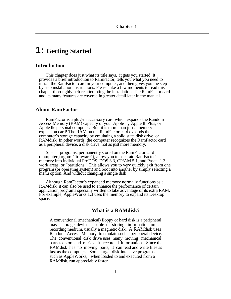# **1: Getting Started**

# **Introduction**

This chapter does just what its title says, it gets you started. It provides a brief introduction to RamFactor, tells you what you need to install the RamFactor card in your computer, and then gives you the step by step installation instructions. Please take a few moments to read this chapter thoroughly before attempting the installation. The RamFactor card and its many features are covered in greater detail later in the manual.

# <span id="page-5-0"></span>**About RamFactor**

RamFactor is a plug-in accessory card which expands the Random Access Memory (RAM) capacity of your Apple ][, Apple ][ Plus, or Apple lle personal computer. But, it is more than just a memory expansion card! The RAM on the RamFactor card expands the computer's storage capacity by emulating a solid state disk drive, or RAMdisk. In other words, the computer recognizes the RamFactor card as a peripheral device, a disk drive, not as just more memory.

Special programs, permanently stored on the RamFactor card (computer jargon: "firmware")*,* allow you to separate RamFactor's memory into individual ProDOS, DOS 3.3, CP/AM 5.1, and Pascal 1.3 work areas, or "partitions." This allows you to very quickly exit from one program (or operating system) and boot into another by simply selecting a menu option. And without changing a single disk!

Although RamFactor's expanded memory normally functions as a RAMdisk, it can also be used to enhance the performance of certain application programs specially written to take advantage of its extra RAM. For example, AppleWorks 1.3 uses the memory to expand its Desktop space.

# **What is a RAMdisk?**

A conventional (mechanical) floppy or hard disk is a peripheral mass storage device capable of storing information on a recording medium, usually a magnetic disk. A RAMdisk uses Random Access Memory to emulate such a peripheral device. The conventional disk drive uses many moving mechanical parts to store and retrieve it recorded information. Since the RAMdisk has no moving parts, it can read and write files as fast as the computer. Some larger disk-intensive programs, such as AppleWorks, when loaded to and executed from a RAMdisk, run appreciably faster.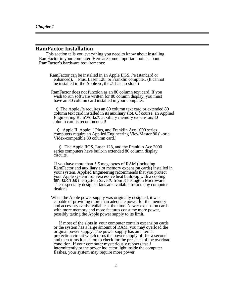### <span id="page-6-0"></span>**RamFactor Installation**

This section tells you everything you need to know about installing RamFactor in your computer. Here are some important points about RamFactor's hardware requirements:

RamFactor can be installed in an Apple IIGS, //e (standard or enhanced), ][ Plus, Laser 128, or Franklin computer. (It cannot be installed in the Apple //c, the //c has no slots.)

 RamFactor does not function as an 80 column text card. If you wish to run software written for 80 column display, you must have an 80 column card installed in your computer.

 The Apple //e requires an 80 column text card or extended 80 column text card installed in its auxiliary slot. Of course, an Applied Engineering RamWorks® auxiliary memory expansion/80 column card is recommended!

 Apple II, Apple ][ Plus, and Franklin Ace 1000 series computers require an Applied Engineering ViewMaster 80 **(** -or a Videx-compatible 80 column card.)

 The Apple IIGS, Laser 128, and the Franklin Ace 2000 series computers have built-in extended 80 column display circuits.

If you have more than *1.5* megabytes of RAM (including RamFactor and auxiliary slot memory expansion cards) installed in your system, Applied Engineering recommends that you protect your Apple system from excessive heat build-up with a cooling fan, such as the System Saver® from Kensington Microware. These specially designed fans are available from many computer dealers.

 When the Apple power supply was originally designed, it was capable of providing more than adequate power for the memory and accessory cards available at the time. Newer expansion cards with more memory and more features consume more power, possibly taxing the Apple power supply to its limit.

If most of the slots in your computer contain expansion cards or the system has a large amount of RAM, you may overload the original power supply. The power supply has an internal protection circuit which turns the power supply off for a second and then turns it back on to check for the presence of the overload condition. If your computer mysteriously reboots itself intermittently or the power indicator light inside the computer flashes, your system may require more power.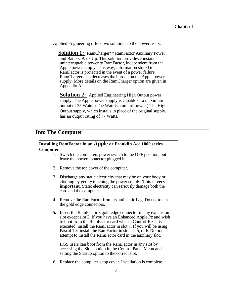<span id="page-7-0"></span>Applied Engineering offers two solutions to the power users:

**Solution 1:** RamCharger™ RamFactor Auxiliary Power and Battery Back Up. This solution provides constant, uninterruptable power to RamFactor, independent from the Apple power supply. This way, information stored in RamFactor is protected in the event of a power failure. RamCharger also decreases the burden on the Apple power supply. More details on the RamCharger option are given in Appendix A.

**Solution 2:** Applied Engineering High Output power supply. The Apple power supply is capable of a maximum output of 35 Watts. (The Watt is a unit of power.) The High Output supply, which installs in place of the original supply, has an output rating of 77 Watts.

# **Into The Computer**

# **Installing RamFactor in an Apple or Franklin Ace 1000 series Computer**

- 1. Switch the computers power switch to the OFF position, but leave the power connector plugged in.
- 2. Remove the top cover of the computer.
- 3. Discharge any static electricity that may be on your body or clothing by gently touching the power supply. **This is very important.** Static electricity can seriously damage both the card and the computer.
- 4. Remove the RamFactor from its anti-static bag. Do not touch the gold edge connectors.
- *5.* Insert the RainFactor's gold edge connector in any expansion slot except slot 3. If you have an Enhanced Apple //e and wish to boot from the RamFactor card when a Control-Reset is executed, install the RamFactor in slot 7. If you will be using Pascal 1.3, install the RamFactor in slots 4, 5, or 6. Do not attempt to install the RamFactor card in the auxiliary slot.

IIGS users can boot from the RamFactor in any slot by accessing the Slots option in the Control Panel Menu and setting the Startup option to the correct slot.

6. Replace the computer's top cover. Installation is complete.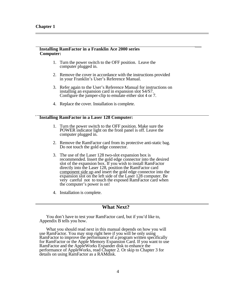$\overline{a}$ 

### **Installing RamFactor in a Franklin Ace 2000 series Computer:**

- 1. Turn the power switch to the OFF position. Leave the computer plugged in.
- 2. Remove the cover in accordance with the instructions provided in your Franklin's User's Reference Manual.
- 3. Refer again to the User's Reference Manual for instructions on installing an expansion card in expansion slot S4/S7. Configure the jumper-clip to emulate either slot 4 or 7.
- 4. Replace the cover. Installation is complete.

### **Installing RamFactor in a Laser 128 Computer:**

- 1. Turn the power switch to the OFF position. Make sure the POWER indicator light on the front panel is off. Leave the computer plugged in.
- 2. Remove the RamFactor card from its protective anti-static bag. Do not touch the gold edge connector.
- 3. The use of the Laser 128 two-slot expansion box is recommended. Insert the gold edge connector into the desired slot of the expansion box. If you wish to install RamFactor directly into the Laser 128, position the RamFactor card component side up and insert the gold edge connector into the expansion slot on the left side of the Laser 128 computer. Be very careful not to touch the exposed RamFactor card when the computer's power is on!
- 4. Installation is complete.

# **What Next?**

You don't have to test your RamFactor card, but if you'd like to, Appendix B tells you how.

What you should read next in this manual depends on how you will use RamFactor. You may stop right here if you will be only using RamFactor to improve the performance of a program written specifically for RamFactor or the Apple Memory Expansion Card. If you want to use RamFactor and the AppleWorks Expander disk to enhance the performance of AppleWorks, read Chapter 2. Or skip to Chapter 3 for details on using RamFactor as a RAMdisk.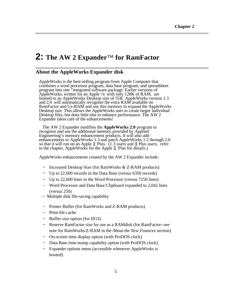# <span id="page-9-0"></span>**2: The AW 2 Expander**™ **for RamFactor**

# **About the AppleWorks Expander disk**

AppleWorks is the best-selling program from Apple Computer that combines a word processor program, data base program, and spreadsheet program into one "integrated software package. Earlier versions of AppleWorks, written for an Apple //e with only 128K of RAM, are limited to an AppleWorks Desktop size of *55K.* AppleWorks version 1.3 and 2.0 will automatically recognize the extra RAM available on RamFactor and Gs-RAM and use this memory to expand the AppleWorks Desktop size. This allows the AppleWorks user to create larger individual Desktop files, but does little else to enhance performance. The AW 2 Expander takes care of the enhancements!

The AW 2 Expander modifies the **AppleWorks 2.0** program to recognize and use the additional memory provided by Applied Engineering's memory enhancement products. It will also add enhancements to AppleWorks 1.3 and patch AppleWorks 1.2 through 2.0 so that it will run on an Apple ][ Plus. (1.3 users and ][ Plus users, refer to the chapter, AppleWorks for the Apple ][ Plus for details.)

AppleWorks enhancements created by the AW 2 Expander include:

- Increased Desktop Size (for RamWorks & Z-RAM products)
- Up to 22,600 records in the Data Base (versus 6350 records)
- $\sim$  Up to 22,600 lines in the Word Processor (versus 7250 lines)
- ~ Word Processor and Data Base Clipboard expanded to 2,042 lines (versus 250)
- $\sim$  Multiple disk file-saving capability
- Printer Buffer (for RamWorks and Z-RAM products)
- ~ Print-file cache
- Buffer size option (for IIGS)
- Reserve RamFactor size for use as a RAMdisk (for RamFactor--see note for RamWorks/Z-RAM in the *About the New Features* section)
- ~ On-screen time display option (with ProDOS clock)
- Data Base time-stamp capability option (with ProDOS clock)
- Expander options menu (accessible whenever AppleWorks is booted)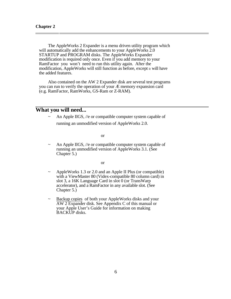<span id="page-10-0"></span>

The AppleWorks 2 Expander is a menu driven utility program which will automatically add the enhancements to your AppleWorks 2.0 STARTUP and PROGRAM disks. The AppleWorks Expander modification is required only once. Even if you add memory to your RamFactor you won't need to run this utility again. After the modification, AppleWorks will still function as before, except it will have the added features.

Also contained on the AW 2 Expander disk are several test programs you can run to verify the operation of your Æ memory expansion card (e.g. RamFactor, RamWorks, GS-Ram or Z-RAM).

# **What you will need...**

An Apple IIGS, //e or compatible computer system capable of running an unmodified version of AppleWorks 2.0.

or

An Apple IIGS, //e or compatible computer system capable of running an unmodified version of AppleWorks 3.1. (See Chapter 5.)

or

- AppleWorks 1.3 or 2.0 and an Apple II Plus (or compatible) with a ViewMaster 80 (Videx-compatible 80 column card) in slot 3, a 16K Language Card in slot 0 (or TransWarp accelerator), and a RamFactor in any available slot. (See Chapter 5.)
- Backup copies of both your AppleWorks disks and your AW 2 Expander disk. See Appendix C of this manual or your Apple User's Guide for information on making BACKUP disks.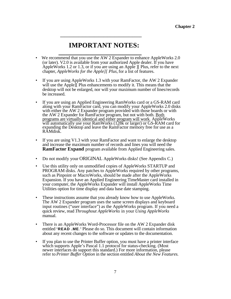# **IMPORTANT NOTES:**

<span id="page-11-0"></span> *\_\_\_\_\_\_\_\_\_\_\_\_\_\_\_\_\_\_\_\_\_\_\_\_\_\_\_\_\_\_\_\_\_\_\_\_*

- **\_\_\_\_\_\_\_\_\_\_\_\_\_\_\_\_\_\_\_\_\_\_\_\_** • We recommend that you use the AW 2 Expander to enhance AppleWorks 2.0 (or later). V2.0 is available from your authorized Apple dealer. If you have AppleWorks 1.2 or 1.3, or if you are using an Apple ][ Plus, refer to the next chapter, *AppleWorks for the Apple][ Plus,* for a list of features.
- If you are using AppleWorks 1.3 with your RamFactor, the AW 2 Expander will use the Apple<sup>[[ Plus</sup> enhancements to modify it. This means that the desktop will not be enlarged, nor will your maximum number of lines/records be increased.
- If you are using an Applied Engineering RamWorks card or a GS-RAM card along with your RamFactor card, you can modify your AppleWorks 2.0 disks with either the AW 2 Expander program provided with those boards or with the AW 2 Expander for RamFactor program, but not with both. Both programs are virtually identical and either program will work. AppleWorks will automatically use your RamWorks (128k or larger) or GS-RAM card for expanding the Desktop and leave the RamFactor memory free for use as a RAMdisk.
- If you are using V1.3 with your RamFactor and want to enlarge the desktop and increase the maximum number of records and lines you will need the **RamFactor Expand** program available from Applied Engineering sales.
- Do not modify your ORIGINAL AppleWorks disks! (See Appendix C.)
- Use this utility only on unmodified copies of AppleWorks STARTUP and PROGRAM disks. Any patches to AppleWorks required by other programs, such as Pinpoint or MacroWorks, should be made after the AppleWorks Expansion. If you have an Applied Engineering TimeMaster card installed in your computer, the AppleWorks Expander will install AppleWorks Time Utilities option for time display and data base date stamping.
- These instructions assume that you already know how to use AppleWorks. The AW 2 Expander program uses the same screen displays and keyboard input routines ("user interface") as the AppleWorks program. If you need a quick review, read *Throughout AppleWorks* in your *Using AppleWorks*  manual.
- There is an AppleWorks Word-Processor file on the AW 2 Expander disk entitled "**READ .ME**." Please do so. This document will contain information about any recent changes to the software or updates to the documentation.
- If you plan to use the Printer Buffer option, you must have a printer interface which supports Apple's Pascal 1.1 protocol for status-checking. (Most newer interfaces do support this standard.) For more information, please refer to *Printer Buffer Option* in the section entitled *About the New Features.*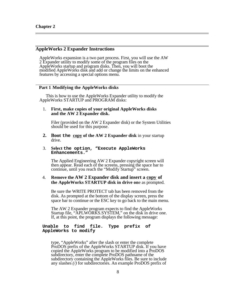<span id="page-12-0"></span>

 $\overline{a}$ 

# **AppleWorks 2 Expander Instructions**

AppleWorks expansion is a two part process. First, you will use the AW 2 Expander utility to modify some of the program files on the AppleWorks startup and program disks. Then, you will boot the modified AppleWorks disk and add or change the limits on the enhanced features by accessing a special options menu.

### **Part 1 - Modifying the AppleWorks disks**

This is how to use the AppleWorks Expander utility to modify the AppleWorks STARTUP and PROGRAM disks:

#### 1. **First, make copies of your original AppleWorks disks and the AW 2 Expander disk.**

Filer (provided on the AW 2 Expander disk) or the System Utilities should be used for this purpose.

**2. Boot the copy of the AW 2 Expander disk** in your startup drive.

#### 3. **Select the option, "Execute AppleWorks Enhancements."**

The Applied Engineering AW 2 Expander copyright screen will then appear. Read each of the screens, pressing the space bar to continue, until you reach the "Modify Startup" screen.

### 4. **Remove the AW 2 Expander disk and insert a copy of the AppleWorks STARTUP disk in drive on**e as prompted.

Be sure the WRITE PROTECT tab has been removed from the disk. As prompted at the bottom of the display screen, press the space bar to continue or the ESC key to go back to the main menu.

The AW 2 Expander program expects to find the AppleWorks Startup file, "APLWORKS.SYSTEM," on the disk in drive one. If, at this point, the program displays the following message:

### **Unable to find file. Type prefix of AppleWorks to modify**

type, "AppleWorks" after the slash or enter the complete ProDOS prefix of the AppleWorks STARTUP disk. If you have copied the AppleWorks program to be modified into a ProDOS subdirectory, enter the complete ProDOS pathname of the subdirectory containing the AppleWorks files. Be sure to include any slashes *(/)* for subdirectories. An example ProDOS prefix of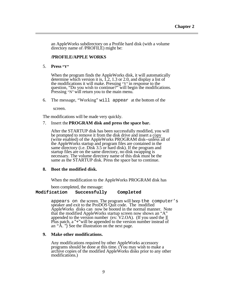an AppleWorks subdirectory on a Profile hard disk (with a volume directory name of /PROFILE) might be:

### **/PROFILE/APPLE WORKS**

5. **Press "Y"**

When the program finds the AppleWorks disk, it will automatically determine which version it is, 1.2, 1.3 or 2.0, and display a list of the modifications it will make. Pressing "Y" in response to the question, "Do you wish to continue?" will begin the modifications. Pressing "N" will return you to the main menu.

6. The message, "Working" will appear at the bottom of the

screen.

The modifications will be made very quickly.

7. Insert the **PROGRAM disk and press the space bar.**

After the STARTUP disk has been successfully modified, you will be prompted to remove it from the disk drive and insert a copy (write enabled) of the AppleWorks PROGRAM disk--unless all of the AppleWorks startup and program files are contained in the same directory (i.e. Disk 3.5 or hard disk). If the program and startup files are on the same directory, no disk swapping is necessary. The volume directory name of this disk must be the same as the STARTUP disk. Press the space bar to continue.

#### **8. Boot the modified disk.**

When the modification to the AppleWorks PROGRAM disk has

been completed, the message:

#### **Modification Successfully Completed**

appears on the screen. The program will beep the computer's speaker and exit to the ProDOS Quit code. The modified AppleWorks disks can now be booted in the normal manner. Note that the modified AppleWorks startup screen now shows an "A" appended to the version number (ex:  $V2.0A$ ). (If you used the  $\parallel$ Plus patch, a "+"will be appended to the version number instead of an "A. ") See the illustration on the next page.

#### **9. Make other modifications.**

Any modifications required by other AppleWorks accessory programs should be done at this time. (You may wish to make a archive copies of the modified AppleWorks disks prior to any other modifications.)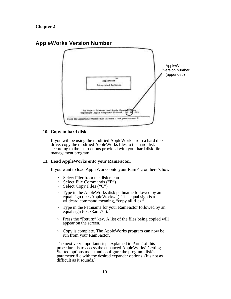# **AppleWorks Version Number**



# **10. Copy to hard disk.**

If you will be using the modified AppleWorks from a hard disk drive, copy the modified AppleWorks files to the hard disk according to the instructions provided with your hard disk file management program.

### **11. Load AppleWorks onto your RamFactor.**

If you want to load AppleWorks onto your RamFactor, here's how:

- $\sim$  Select Filer from the disk menu.
- ~ Select File Commands ("F")
- $\sim$  Select Copy Files ("C")
- $\sim$  Type in the AppleWorks disk pathname followed by an equal sign (ex:  $\lambda$ AppleWorks/=). The equal sign is a wildcard command meaning, "copy all files."
- ~ Type in the Pathname for your RamFactor followed by an equal sign (ex: / $Ram7/=$ ).
- ~ Press the "Return" key. A list of the files being copied will appear on the screen.
- $\sim$  Copy is complete. The AppleWorks program can now be run from your RamFactor.

The next very important step, explained in Part 2 of this procedure, is to access the enhanced AppleWorks' Getting Started options menu and configure the program disk's parameter file with the desired expander options. (It s not as difficult as it sounds.)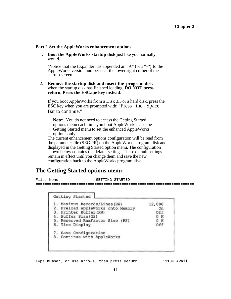#### **Part 2 - Set the AppleWorks enhancement options**

1. **Boot the AppleWorks startup disk** just like you normally would.

(Notice that the Expander has appended an "A" (or a "+") to the AppleWorks version number near the lower right corner of the startup screen

2. **Remove the startup disk and insert the program disk**  when the startup disk has finished loading. **DO NOT press return. Press the ESCape key instead**.

If you boot AppleWorks from a Disk 3.5 or a hard disk, press the ESC key when you are prompted with: "Press the Space Bar to continue."

**Note:** You do not need to access the Getting Started options menu each time you boot AppleWorks. Use the Getting Started menu to set the enhanced AppleWorks options only.

The current enhancement options configuration will be read from the parameter file (SEG.PR) on the AppleWorks program disk and displayed in the Getting Started option menu. The configuration shown below contains the default settings. These default settings remain in effect until you change them and save the new configuration back to the AppleWorks program disk.

# **The Getting Started options menu:**

 $\overline{\phantom{0}}$ 

 $\overline{a}$ 

File: None GETTING STARTED ======================================================================

| Getting Started                                                                                                                                                          |                                          |
|--------------------------------------------------------------------------------------------------------------------------------------------------------------------------|------------------------------------------|
| 1. Maximum Records/Lines (RW)<br>2. Preload AppleWorks onto Memory<br>3. Printer Buffer (RW)<br>4. Buffer Size(GS)<br>5. Reserved RamFactor Size (RF)<br>6. Time Display | 12,000<br>On<br>Off<br>0 K<br>0 K<br>Off |
| 7. Save Configuration<br>8. Continue with AppleWorks                                                                                                                     |                                          |

Type number, or use arrows, then press Return 1113K Avail.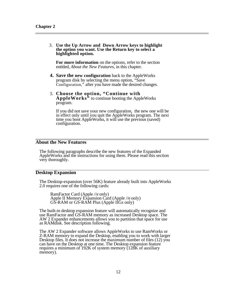### <span id="page-16-0"></span>3. **Use the Up Arrow and Down Arrow keys to highlight the option you want. Use the Return key to select a highlighted option.**

**For more information** on the options, refer to the section entitled, *About the New Features,* in this chapter.

- **4. Save the new configuration** back to the AppleWorks program disk by selecting the menu option, "Save Configuration," after you have made the desired changes.
- *5.* **Choose the option, "Continue with AppleWorks"** to continue booting the AppleWorks program.

If you did not save your new configuration, the new one will be in effect only until you quit the AppleWorks program. The next time you boot AppleWorks, it will use the previous (saved) configuration.

# **About the New Features**

 $\overline{a}$ 

 $\overline{a}$ 

The following paragraphs describe the new features of the Expanded AppleWorks and the instructions for using them. Please read this section very thoroughly.

### **Desktop Expansion**

The Desktop-expansion (over 56K) feature already built into AppleWorks 2.0 requires one of the following cards:

RamFactor Card (Apple //*e* only) Apple II Memory Expansion Card (Apple //e only) GS-RAM or GS-RAM Plus (Apple IIGs only)

The built-in desktop expansion feature will automatically recognize and use RamFactor and GS-RAM memory as increased Desktop space. The AW 2 Expander enhancements allows you to partition that space for use as RAMdisk. See description following.

The AW 2 Expander software allows AppleWorks to use RamWorks or Z-RAM memory to expand the Desktop, enabling you to work with larger Desktop files. It does not increase the maximum number of files (12) you can have on the Desktop at one time. The Desktop expansion feature requires a minimum of 192K of system memory (128K of auxiliary memory).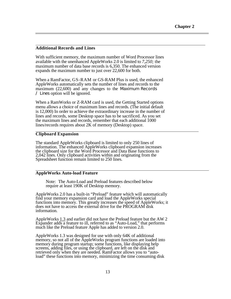### **Additional Records and Lines**

 $\overline{a}$ 

With sufficient memory, the maximum number of Word Processor lines available with the unenhanced AppleWorks 2.0 is limited to *7,250;* the maximum number of data base records is 6,350. The enhanced version expands the maximum number to just over 22,600 for both.

When a RamFactor, GS-RAM or GS-RAM Plus is used, the enhanced AppleWorks automatically sets the number of lines and records to the maximum (22,600) and any changes to the Maximum Records / Lines option will be ignored.

When a RamWorks or Z-RAM card is used, the Getting Started options menu allows a choice of maximum lines and records. (The initial default is 12,000) In order to achieve the extraordinary increase in the number of lines and records, some Desktop space has to be sacrificed. As you set the maximum lines and records, remember that each additional 1000 lines/records requires about 2K of memory (Desktop) space.

### **Clipboard Expansion**

The standard AppleWorks clipboard is limited to only 250 lines of information. The enhanced AppleWorks clipboard expansion increases the clipboard size for the Word Processor and Data Base functions to 2,042 lines. Only clipboard activities within and originating from the Spreadsheet function remain limited to 250 lines.

### **AppleWorks Auto-load Feature**

Note: The Auto-Load and Preload features described below require at least 190K of Desktop memory.

AppleWorks 2.0 has a built-in "Preload" feature which will automatically find your memory expansion card and load the AppleWorks special functions into memory. This greatly increases the speed of AppleWorks; it does not have to access the external drive for the PROGRAM disk information.

AppleWorks 1.3 and earlier did not have the Preload feature but the AW 2 Expander adds a feature to ill, referred to as "Auto-Load," that performs much like the Preload feature Apple has added to version 2.0.

AppleWorks 1.3 was designed for use with only 64K of additional memory, so not all of the AppleWorks program functions are loaded into memory during program startup; some functions, like displaying help screens, adding files, or using the clipboard, are left on the disk and retrieved only when they are needed. RamFactor allows you to "autoload" these functions into memory, minimizing the time consuming disk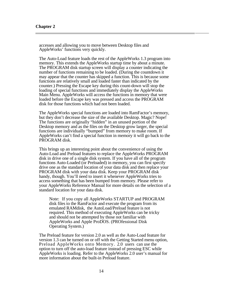accesses and allowing you to move between Desktop files and AppleWorks' functions very quickly.

The Auto-Load feature loads the rest of the AppleWorks 1.3 program into memory. This extends the AppleWorks startup time by about a minute. The PROGRAM disk startup screen will display a counter indicating the number of functions remaining to be loaded. (During the countdown it may appear that the counter has skipped a function. This is because some functions are relatively small and loaded faster than indicated by the counter.) Pressing the Escape key during this count-down will stop the loading of special functions and immediately display the AppleWorks Main Menu. AppleWorks will access the functions in memory that were loaded before the Escape key was pressed and access the PROGRAM disk for those functions which had not been loaded.

The AppleWorks special functions are loaded into RamFactor's memory, but they don't decrease the size of the available Desktop. Magic? Nope! The functions are originally "hidden" in an unused portion of the Desktop memory and as the files on the Desktop grow larger, the special functions are individually "bumped" from memory to make room. If AppleWorks can't find a special function in memory it will go back to the PROGRAM disk.

This brings up an interesting point about the convenience of using the Auto-Load and Preload features to replace the AppleWorks PROGRAM disk in drive one of a single disk system. If you have all of the program functions Auto-Loaded (or Preloaded) in memory, you can first specify drive one as the standard location of your data disk and then replace your PROGRAM disk with your data disk. Keep your PROGRAM disk handy, though. You'll need to insert it whenever AppleWorks tries to access something that has been bumped from memory. Please refer to your AppleWorks Reference Manual for more details on the selection of a standard location for your data disk.

Note: If you copy all AppleWorks STARTUP and PROGRAM disk files to the RamFactor and execute the program from its emulated RAMdisk, the AutoLoad/Preload feature is not required. This method of executing AppleWorks can be tricky and should not be attempted by those not familiar with AppleWorks and Apple ProDOS. (PROfessional Disk Operating System.)

The Preload feature for version 2.0 as well as the Auto-Load feature for version 1.3 can be turned on or off with the Getting Started menu option, Preload AppleWorks onto Memory. 2.0 users can use the option to turn off the auto-load feature instead of pressing ESC while AppleWorks is loading. Refer to the AppleWorks 2.0 user's manual for more information about the built-in Preload feature.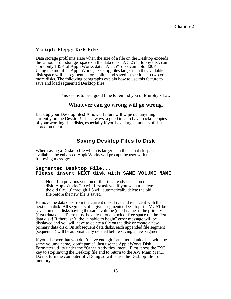# **Multiple Floppy Disk Files**

Data storage problems arise when the size of a file on the Desktop exceeds the amount of storage space on the data disk. A 5.25" floppy disk can<br>store only  $125K$  of April Weilly disk  $\frac{1}{2}$ . store only 135K of AppleWorks data. A 3.5" disk can hold 800K. Using the modified AppleWorks, Desktop, files larger than the available disk space will be segmented, or "split", and saved in sections to two or more disks. The following paragraphs explain how to use this feature to save and load segmented Desktop files.

This seems to be a good time to remind you of Murphy's Law:

### **Whatever can go wrong will go wrong.**

Back up your Desktop files! A power failure will wipe out anything currently on the Desktop! It's always a good idea to have backup copies of your working data disks, especially if you have large amounts of data stored on them.

# **Saving Desktop Files to Disk**

When saving a Desktop file which is larger than the data disk space available, the enhanced AppleWorks will prompt the user with the following message:

### **Segmented Desktop File... Please insert NEXT disk with SAME VOLUME NAME**

Note: If a previous version of the file already exists on the disk, AppleWorks 2.0 will first ask you if you wish to delete the old file. 1.0 through 1.3 will automatically delete the old file before the new file is saved.

Remove the data disk from the current disk drive and replace it with the next data disk. All segments of a given segmented Desktop file MUST be saved on data disks having the same volume (disk) name as the primary (first) data disk. There must be at least one block of free space on the first data disk! If there isn't, the "unable to begin" error message will be displayed and you will have to delete a file on the disk or create a new primary data disk. On subsequent data disks, each appended file segment (sequential) will be automatically deleted before saving a new segment.

If you discover that you don't have enough formatted blank disks with the same volume name, don't panic! Just use the AppleWorks Disk Formatter utility under the "Other Activities" menu. First, press the ESC key to stop saving the Desktop file and to return to the AW Main Menu. Do not turn the computer off. Doing so will erase the Desktop file from memory.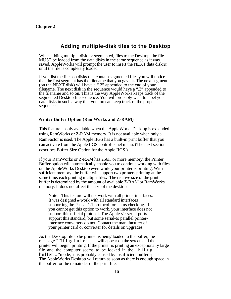$\overline{a}$ 

# **Adding multiple-disk tiles to the Desktop**

When adding multiple-disk, or segmented, files to the Desktop, the file MUST be loaded from the data disks in the same sequence as it was saved. AppleWorks will prompt the user to insert the NEXT data disk(s) until the file is completely loaded.

If you list the files on disks that contain segmented files you will notice that the first segment has the filename that you gave it. The next segment (on the NEXT disk) will have a ".2" appended to the end of your filename. The next disk in the sequence would have a ".3" appended to the filename and so on. This is the way AppleWorks keeps track of the segmented Desktop file sequence. You will probably want to label your data disks in such a way that you too can keep track of the proper sequence.

### **Printer Buffer Option (RamWorks and Z-RAM)**

This feature is only available when the AppleWorks Desktop is expanded using RamWorks or Z-RAM memory. It is not available when only a RamFactor is used. The Apple IIGS has a built-in print buffer that you can activate from the Apple IIGS control-panel menu. (The next section describes Buffer Size Option for the Apple IIGS.)

If your RamWorks or Z-RAM has 256K or more memory, the Printer Buffer option will automatically enable you to continue working with files on the AppleWorks Desktop even while your printer is printing. With sufficient memory, the buffer will support two printers printing at the same time, each printing multiple files. The relative size of the print buffer is determined by the amount of available Z-RAM or RamWorks memory. It does not affect the size of the desktop.

Note: This feature will not work with all printer interfaces. It was designed **to** work with all standard interfaces supporting the Pascal 1.1 protocol for status checking. If you cannot get this option to work, your interface does not support this official protocol. The Apple //c serial ports support this standard, but some serial-to parallel printerinterface converters do not. Contact the manufacturer of your printer card or converter for details on upgrades.

As the Desktop file to be printed is being loaded to the buffer, the message "Filling buffer. . ." will appear on the screen and the printer will begin printing. If the printer is printing an exceptionally large file and the computer seems to be locked in the "Filling buffer... "mode, it is probably caused by insufficient buffer space. The AppleWorks Desktop will return as soon as there is enough space in the buffer for the remainder of the print file.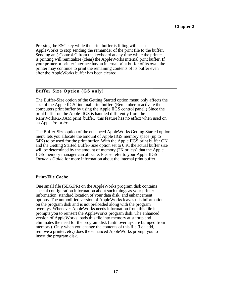Pressing the ESC key while the print buffer is filling will cause AppleWorks to stop sending the remainder of the print file to the buffer. Sending an (-Control-C from the keyboard at any time while the printer is printing will reinitialize (clear) the AppleWorks internal print buffer. If your printer or printer interface has an internal print buffer of its own, the printer may continue to print the remaining contents of its buffer even after the AppleWorks buffer has been cleared.

# **Buffer Size Option (GS only)**

The Buffer-Size option of the Getting Started option menu only affects the size of the Apple IIGS' internal print buffer. (Remember to activate the computers print buffer by using the Apple IIGS control panel.) Since the print buffer on the Apple IIGS is handled differently from the RamWorks/Z-RAM print buffer, this feature has no effect when used on an Apple //e or *//*c*.*

The Buffer-Size option of the enhanced AppleWorks Getting Started option menu lets you allocate the amount of Apple IIGS memory space (up to 64K) to be used for the print buffer. With the Apple IIGS print buffer ON and the Getting Started Buffer-Size option set to 0 K, the actual buffer size will be determined by the amount of memory (2K or less) that the Apple IIGS memory manager can allocate. Please refer to your Apple IIGS *Owner's Guide* for more information about the internal print buffer.

# **Print-File Cache**

 $\overline{a}$ 

 $\overline{a}$ 

One small file (SEG.PR) on the AppleWorks program disk contains special configuration information about such things as your printer information, standard location of your data disk, and enhancement options. The unmodified version of AppleWorks leaves this information on the program disk and is not preloaded along with the program overlays. Whenever AppleWorks needs information from this file it prompts you to reinsert the AppleWorks program disk. The enhanced version of AppleWorks loads this file into memory at startup and eliminates the need for the program disk (until overlays are bumped from memory). Only when you change the contents of this file (i.e.: add, remove a printer, etc.) does the enhanced AppleWorks prompt you to insert the program disk.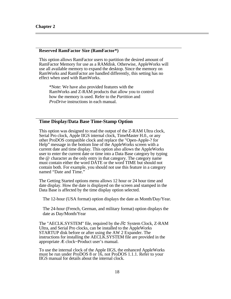# **Reserved RamFactor Size (RamFactor\*)**

This option allows RamFactor users to partition the desired amount of RamFactor Memory for use as a RAMdisk. Otherwise, AppleWorks will use all available memory to expand the desktop. Since the memory on RamWorks and RamFactor are handled differently, this setting has no effect when used with RamWorks.

\*Note: We have also provided features with the RamWorks and Z-RAM products that allow you to control how the memory is used. Refer to the *Partition* and *ProDrive* instructions in each manual.

# **Time Display/Data Base Time-Stamp Option**

This option was designed to read the output of the Z-RAM Ultra clock, Serial Pro clock, Apple IIGS internal clock, TimeMaster H.0., or any other ProDOS compatible clock and replace the "Open-Apple-? for Help" message in the bottom line of the AppleWorks screen with a current date and time display. This option also allows the AppleWorks user to enter the current date or time into a Data Base category by typing the @ character as the only entry in that category. The category name must contain either the word DATE or the word TIME but should not contain both. For example, you should not use this feature in a category named "Date and Time."

The Getting Started options menu allows 12 hour or 24 hour time and date display. How the date is displayed on the screen and stamped in the Data Base is affected by the time display option selected.

The 12-hour (USA format) option displays the date as Month/Day/Year.

The 24-hour (French, German, and military format) option displays the date as Day/Month/Year

The "AECLK.SYSTEM" file, required by the *//c* System Clock, Z-RAM Ultra, and Serial Pro clocks, can be installed to the AppleWorks STARTUP disk before or after using the AW 2 Expander. The instructions for installing the AECLK.SYSTEM file are provided in the appropriate Æ clock~Product user's manual.

To use the internal clock of the Apple IIGS, the enhanced AppleWorks must be run under ProDOS 8 or 16, not ProDOS 1.1.1. Refer to your IIGS manual for details about the internal clock.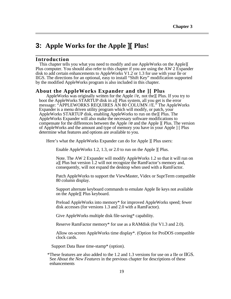# **3: Apple Works for the Apple ][ Plus!**

# **Introduction**

<span id="page-23-0"></span> $\overline{a}$ 

 $\overline{a}$ 

This chapter tells you what you need to modify and use AppleWorks on the Apple][ Plus computer. You should also refer to this chapter if you are using the AW 2 Expander disk to add certain enhancements to AppleWorks V1.2 or 1.3 for use with your lle or IIGS. The directions for an optional, easy to install "Shift Key" modification supported by the modified AppleWorks program is also included in this chapter.

# **About the AppleWorks Expander and the ][ Plus**

AppleWorks was originally written for the Apple //e, not the][ Plus. If you try to boot the AppleWorks STARTUP disk in a][ Plus system, all you get is the error message: "APPLEWORKS REQUIRES AN 80 COLUMN //E." The AppleWorks Expander is a menu driven utility program which will modify, or patch, your AppleWorks STARTUP disk, enabling AppleWorks to run on the][ Plus. The AppleWorks Expander will also make the necessary software modifications to compensate for the differences between the Apple //*e* and the Apple ][ Plus. The version of AppleWorks and the amount and type of memory you have in your Apple ] [ Plus determine what features and options are available to you.

Here's what the AppleWorks Expander can do for Apple ][ Plus users:

Enable AppleWorks 1.2, 1.3, or 2.0 to run on the Apple II Plus.

Note. The AW 2 Expander will modify AppleWorks 1.2 so that it will run on a][ Plus but version 1.2 will not recognize the RamFactor's memory and, consequently, will not expand the desktop when used with a RamFactor.

 Patch AppleWorks to support the ViewMaster, Videx or SuprTerm compatible 80 column display.

 Support alternate keyboard commands to emulate Apple lle keys not available on the Apple][ Plus keyboard.

 Preload AppleWorks into memory\* for improved AppleWorks speed; fewer disk accesses (for versions 1.3 and 2.0 with a RamFactor).

Give AppleWorks multiple disk file-saving\* capability.

Reserve RamFactor memory\* for use as a RAMdisk (for V1.3 and 2.0).

 Allow on-screen AppleWorks time display\*. (Option for ProDOS compatible clock cards.

Support Data Base time-stamp\* (option).

\*These features are also added to the 1.2 and 1.3 versions for use on a IIe or IIGS. See *About the New Features* in the previous chapter for descriptions of these enhancements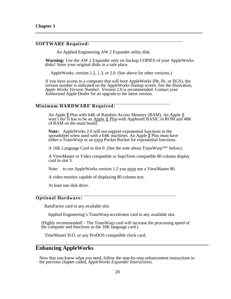<span id="page-24-0"></span> $\overline{a}$ 

 $\overline{a}$ 

 $\overline{a}$ 

 $\overline{a}$ 

### **SOFTWARE Required:**

An Applied Engineering AW 2 Expander utility disk.

**Warning:** Use the AW 2 Expander only on backup COPIES of your AppleWorks disks! Store your original disks in a safe place.

AppleWorks, version 1.2, 1.3, or 2.0. (See above for other versions.)

If you have access to a computer that will boot AppleWorks (//e, //c, or IIGS), the version number is indicated on the AppleWorks Startup screen. See the illustration, *Apple Works Version Number.* Version 2.0 is recommended. Contact your Authorized Apple Dealer for an upgrade to the latest version.

### **Minimum HARDWARE Required:**

 An Apple ][ Plus with 64K of Random Access Memory (RAM). An Apple ][ won't do! It has to be an Apple II Plus with Applesoft BASIC in ROM and 48K of RAM on the main board.

**Note:** AppleWorks 2.0 will not support exponential functions in the spreadsheet when used with a 64K machines. An Apple  $\parallel$  Plus must have either a TransWarp or an extra Pocket Rocket for exponential functions.

A 16K Language Card in slot 0. (See the note about TransWarp™' below).

 A ViewMaster or Videx compatible or SuprTerm compatible 80 column display card in slot 3.

Note: to run AppleWorks version 1.2 you must use a ViewMaster 80.

A video monitor capable of displaying 80 column text.

At least one disk drive.

### **Optional Hardware:**

RamFactor card in any available slot.

Applied Engineering's TransWarp accelerator card in any available slot.

(Highly recommended! - The TransWarp card will increase the processing speed of the computer and functions as the 16K language card.)

TimeMaster H.O. or any ProDOS compatible clock card.

# **Enhancing AppleWorks**

Now that you know what you need, follow the step-by-step enhancement instructions in the previous chapter called, *AppleWorks Expander Instructions.*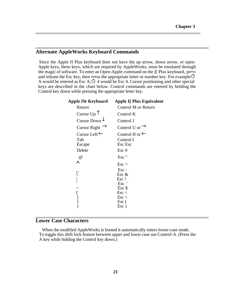# **Alternate AppleWorks Keyboard Commands**

<span id="page-25-0"></span>

Since the Apple II Plus keyboard does not have the up arrow, down arrow, or open-Apple keys, these keys, which are required by AppleWorks, must be emulated through the magic of software. To enter an Open-Apple command on the ][ Plus keyboard, press and release the Esc key, then press the appropriate letter or number key. For example  $\Box$ A would be entered as Esc A;  $\overrightarrow{A}$  4 would be Esc 4. Cursor positioning and other special keys are described in the chart below. Control commands are entered by holding the Control key down while pressing the appropriate letter key.

| Apple <i>ll</i> e Keyboard | <b>Apple I[ Plus Equivalent</b> |
|----------------------------|---------------------------------|
| Return                     | Control M or Return             |
| Cursor $Up$ <sup>T</sup>   | Control K                       |
| Cursor Down $\downarrow$   | Control J                       |
| Cursor Right $\rightarrow$ | Control U or $\rightarrow$      |
| Cursor Left $\leftarrow$   | Control H or $\leftarrow$       |
| Tab                        | Control I                       |
| Escape                     | Esc Esc                         |
| Delete                     | Esc#                            |
| @                          | Esc"                            |
| Λ                          | $\text{Esc} =$                  |
|                            | $Esc -$                         |
|                            | Esc $\&$                        |
|                            | Esc!                            |
|                            | Esc                             |
|                            | $Esc$ \$                        |
| [                          | $\text{Esc}$                    |
|                            | $\text{Esc}$                    |
|                            | Esc (                           |
|                            | Esc)                            |

# **Lower Case Characters**

When the modified AppleWorks is booted it automatically enters lower-case mode. To toggle this shift lock feature between upper and lower case use Control-A. (Press the A key while holding the Control key down.)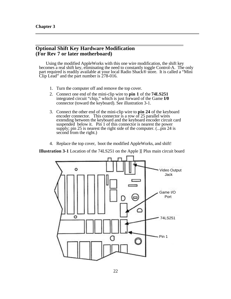<span id="page-26-0"></span> $\overline{a}$ 

# **Optional Shift Key Hardware Modification (For Rev 7 or later motherboard)**

Using the modified AppleWorks with this one wire modification, the shift key becomes a real shift key, eliminating the need to constantly toggle Control-A. The only part required is readily available at your local Radio Shack® store. It is called a "Mini Clip Lead" and the part number is 278-016.

- 1. Turn the computer off and remove the top cover.
- 2. Connect one end of the mini-clip wire to **pin 1** of the **74LS251**  integrated circuit "chip," which is just forward of the Game **I/0**  connector (toward the keyboard). See illustration 3-1.
- 3. Connect the other end of the mini-clip wire to **pin 24** of the keyboard encoder connector. This connector is a row of 25 parallel wires extending between the keyboard and the keyboard encoder circuit card suspended below it. Pin 1 of this connector is nearest the power supply; pin 25 is nearest the right side of the computer. (...pin 24 is second from the right.)
- 4. Replace the top cover, boot the modified AppleWorks, and shift!

**Illustration 3-1** Location of the 74LS251 on the Apple ][ Plus main circuit board

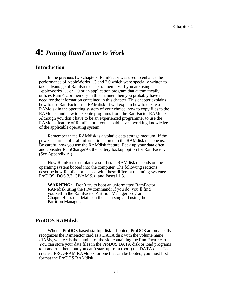# **4:** *Putting RamFactor to Work*

# **Introduction**

<span id="page-27-0"></span>

In the previous two chapters, RamFactor was used to enhance the performance of AppleWorks 1.3 and 2.0 which were specially written to take advantage of RamFactor's extra memory. If you are using AppleWorks 1.3 or 2.0 or an application program that automatically utilizes RamFactor memory in this manner, then you probably have no need for the information contained in this chapter. This chapter explains how to use RamFactor as a RAMdisk. It will explain how to create a RAMdisk in the operating system of your choice, how to copy files to the RAMdisk, and how to execute programs from the RamFactor RAMdisk. Although you don't have to be an experienced programmer to use the RAMdisk feature of RamFactor, you should have a working knowledge of the applicable operating system.

Remember that a RAMdisk is a volatile data storage medium! If the power is turned off, all information stored in the RAMdisk disappears. Be careful how you use the RAMdisk feature. Back up your data often and consider RamCharger™, the battery backup option for RamFactor. (See Appendix A.)

How RamFactor emulates a solid-state RAMdisk depends on the operating system booted into the computer. The following sections describe how RamFactor is used with these different operating systems: ProDOS, DOS 3.3, CP/AM *5.1,* and Pascal 1.3.

**WARNING:** Don't try to boot an unformatted RamFactor RAMdisk using the PR# command! If you do, you'll find yourself in the RamFactor Partition Manager program. Chapter 4 has the details on the accessing and using the Partition Manager.

# **ProDOS RAMdisk**

When a ProDOS based startup disk is booted, ProDOS automatically recognizes the RamFactor card as a DATA disk with the volume name /RAMs, where *s* is the number of the slot containing the RamFactor card. You can store your data files in the ProDOS DATA disk or load programs to it and run them, but you can't start up from (boot) the DATA disk. To create a PROGRAM RAMdisk, or one that can be booted, you must first format the ProDOS RAMdisk.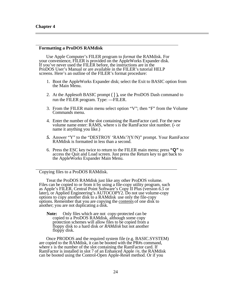$\overline{a}$ 

 $\overline{a}$ 

### **Formatting a ProDOS RAMdisk**

Use Apple Computer's FILER program to *format* the RAMdisk. For your convenience, FILER is provided on the AppleWorks Expander disk. If you've never used the FILER before, the instructions are in the ProDOS User's Manual or are available in the FILER's tutorial HELP screens. Here's an outline of the FILER's format procedure:

- 1. Boot the AppleWorks Expander disk; select the Exit to BASIC option from the Main Menu.
- 2. At the Applesoft BASIC prompt ( ] )**,** use the ProDOS Dash command to run the FILER program. Type: —FILER.
- 3. From the FILER main menu select option "V"; then "F" from the Volume Commands menu.
- 4. Enter the number of the slot containing the RamFactor card. For the new volume name enter: RAMS, where s is the RamFactor slot number. (**-** or name it anything you like.)
- *5.* Answer "Y" to the "DESTROY 'RAMs'?(Y/N)" prompt. Your RamFactor RAMdisk is formatted in less than a second.
- 6. Press the ESC key twice to return to the FILER main menu; press **"Q"** to access the Quit and Load screen. Just press the Return key to get back to the AppleWorks Expander Main Menu.

#### Copying files to a ProDOS RAMdisk.

Treat the ProDOS RAMdisk just like any other ProDOS volume. Files can be copied to or from it by using a file-copy utility program, such as Apple's FILER, Central Point Software's Copy II Plus (version *6.5* or later), or Applied Engineering's AUTOCOPY2. Do not use volume-copy options to copy another disk to a RAM disk use only the file-copy options. Remember that you are copying the contents of one disk to another; you are not duplicating a disk.

**Note:** Only files which are not copy-protected can be copied to a ProDOS RAMdisk, although some copy protection schemes will allow files to be copied from a floppy disk to a hard disk *or RAMdisk* but not another floppy disk.

Once PRODOS and the required system file (e.g. BASIC.SYSTEM) are copied to the RAMdisk, it can be booted with the PR#s command, where *s* is the number of the slot containing the RamFactor card. If RamFactor is installed in slot 7 of an Enhanced Apple //e, the RAMdisk can be booted using the Control-Open Apple-Reset method. Or if you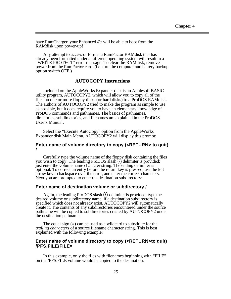have RamCharger, your Enhanced *//e* will be able to boot from the RAMdisk upon power-up!

<span id="page-29-0"></span> $\overline{a}$ 

Any attempt to access or format a RamFactor RAMdisk that has already been formatted under a different operating system will result in a "WRITE PROTECT" error message. To clear the RAMdisk, remove power from the RamFactor card. (i.e. turn the computer and battery backup option switch OFF.)

# **AUTOCOPY Instructions**

Included on the AppleWorks Expander disk is an Applesoft BASIC utility program, AUTOCOPY2, which will allow you to copy all of the files on one or more floppy disks (or hard disks) to a ProDOS RAMdisk. The authors of AUTOCOPY2 tried to make the program as simple to use as possible, but it does require you to have an elementary knowledge of ProDOS commands and pathnames. The basics of pathnames, directories, subdirectories, and filenames are explained in the ProDOS User's Manual.

Select the "Execute AutoCopy" option from the AppleWorks Expander disk Main Menu. AUTOCOPY2 will display this prompt:

### **Enter name of volume directory to copy (<RETURN> to quit)** *I*

Carefully type the volume name of the floppy disk containing the files you wish to copy. The leading ProDOS slash (/) delimiter is provided; just enter the volume name character string. The ending delimiter is optional. To correct an entry before the return key is pressed, use the left arrow key to backspace over the error, and enter the correct characters. Next you are prompted to enter the destination subdirectory:

### **Enter name of destination volume or subdirectory /**

Again, the leading ProDOS slash (/) delimiter is provided; type the desired volume or subdirectory name. if a destination subdirectory is specified which does not already exist, AUTOCOPY2 will automatically create it. The contents of any subdirectories encountered under the source pathname will be copied to subdirectories created by AUTOCOPY2 under the destination pathname.

The equal sign (=) can be used as a wildcard to substitute for the *trailing characters* of a source filename character string. This is best explained with the following example:

### **Enter name of volume directory to copy (<RETURN>to quit) /PFS.FILE/FILE=**

In this example, only the files with filenames beginning with "FILE" on the /PFS.FILE volume would be copied to the destination.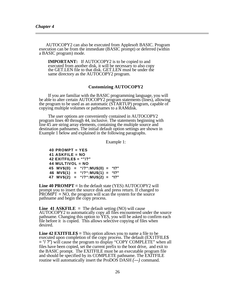AUTOCOPY2 can also be executed from Applesoft BASIC. Program execution can be from the immediate (BASIC prompt) or deferred (within a BASIC program) mode.

**IMPORTANT:** If AUTOCOPY2 is to be copied to and executed from another disk, it will be necessary to also copy the GET.LEN file to that disk. GET.LEN must be under the same directory as the AUTOCOPY2 program.

### **Customizing AUTOCOPY2**

If you are familiar with the BASIC programming language, you will be able to alter certain AUTOCOPY2 program statements (lines), allowing the program to be used as an automatic (STARTUP) program, capable of copying multiple volumes or pathnames to a RAMdisk.

The user options are conveniently contained in AUTOCOPY2 program lines 40 through 44, inclusive. The statements beginning with line 45 are string array elements, containing the multiple source and destination pathnames. The initial default option settings are shown in Example 1 below and explained in the following paragraphs.

Example 1:

**40 PROMPT = YES 41 ASKFILE = NO 42 EXITFILE\$ = ""/?" 44 MULTIVOL = NO 45 MV\$(0) = "/?":MU\$(0) = "I?" 46 MV\$(1) = "/?":MU\$(1) = "I?" 47 MV\$(2) = "/?":MU\$(2) = "I?"**

**Line 40 PROMPT** = In the default state (YES) AUTOCOPY2 will prompt you to insert the source disk and press return. If changed to  $PROMPT = NO$ , the program will scan the system for the source pathname and begin the copy process.

**Line 41 ASKFILE** = The default setting  $(NO)$  will cause AUTOCOPY2 to automatically copy all files encountered under the source pathname. Changing this option to YES, you will be asked to confirm each file before it is copied. This allows selective copying of files when desired.

**Line 42 EXITFILE\$** = This option allows you to name a file to be executed upon completion of the copy process. The default (EX1TFILE\$) = "/ ?") will cause the program to display "COPY COMPLETE" when all files have been copied, set the current prefix to the boot drive, and exit to the BASIC prompt. The EXITFILE must be an executable program file and should be specified by its COMPLETE pathname. The EXITFILE routine will automatically insert the ProDOS DASH *(—)* command.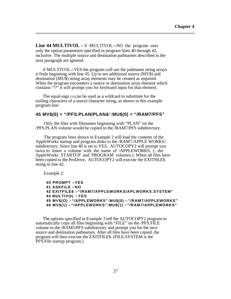**Line 44 MULTIVOL** = if MULTIVOL = NO the program uses only the option parameters specified in program lines 40 through 42, inclusive. The multiple source and destination pathnames described in the next paragraph are ignored.

if MULTIVOL = YES the program will use the pathname string arrays it finds beginning with line 45. Up to ten additional source (MV\$) and destination (MU\$) string array elements may be created as required. When the program encounters a source or destination array element which contains "/?" it will prompt you for keyboard input for that element.

The equal-sign (=) can be used as a wildcard to substitute for the trailing characters of a source character string, as shown in this example program line:

# **45 MV\$(0) = "/PFS.PLAN/PLAN&':MU\$(0) = "/RAM7/PFS"**

Only the files with filenames beginning with "PLAN" on the /PFS.PLAN volume would be copied to the /RAM7/PFS subdirectory.

The program lines shown in Example 2 will load the contents of the AppleWorks startup and program disks to the /RAM7/APPLE WORKS/ subdirectory. Since line 40 is set to YES, AUTOCOPY2 will prompt you twice to insert a volume with the name of /APPLEWORKS. (...the AppleWorks STARTUP and PROGRAM volumes.) When all files have been copied to the ProDrive, AUTOCOPY2 will execute the EXITHLE\$ string in line 42.

Example 2:

 $\overline{a}$ 

**40 PROMPT** = **YES 41 ASKFILE** = **NO 42 EXITFILE\$** = **"/RAM7/APPLEWORKS/APLWORKS.SYSTEM" 44 MULTIVOL** = **YES 45 MV\$(O)** = **"/APPLEWORKS":MU\$(0)** = **"/RAM7/APPLEWORKS" 46 MV\$(1)** = **"/APPLEWORKS":MU\$(1)** = **"/RAM7/APPLEWORKS"**

The options specified in Example 3 tell the AUTOCOPY2 program to automatically copy all files beginning with "FILE" on the /PFS.FILE volume to the /RAM5/PFS subdirectory and prompt you for the next source and destination pathnames. After all files have been copied, the program will then execute the EXITFILE\$. (FILE.SYSTEM is the PFS:File startup program.)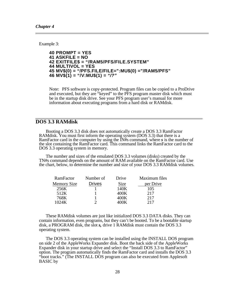$\overline{a}$ 

<span id="page-32-0"></span>Example 3:

```
40 PROMPT = YES
41 ASKFILE = NO
42 EXITFILE$ = "/RAM5/PFS/FILE.SYSTEM"
44 MULTIVOL = YES
45 MV$(0) = "/PFS.FILE/FILE=":MU$(0) ="/RAM5/PFS"
46 MV$(1) = "/V:MU$(1) = "/?"
```
Note: PFS software is copy-protected. Program files can be copied to a ProDrive and executed, but they are "keyed" to the PFS program master disk which must be in the startup disk drive. See your PFS program user's manual for more information about executing programs from a hard disk or RAMdisk.

# **DOS 3.3 RAMdisk**

Booting a DOS 3.3 disk does not automatically create a DOS 3.3 RamFactor RAMdisk. You must first inform the operating system (DOS 3.3) that there is a RamFactor card in the computer by using the IN#s command, where *s* is the number of the slot containing the RamFactor card. This command links the RamFactor card to the DOS 3.3 operating system in memory.

The number and sizes of the emulated DOS 3.3 volumes (disks) created by the TN#s command depends on the amount of RAM available on the RamFactor card. Use the chart, below, to determine the number and size of your DOS 3.3 RAMdisk volumes.

| RamFactor   | Number of     | Drive | Maximum files |
|-------------|---------------|-------|---------------|
| Memory Size | <b>Drives</b> | Size  | per Drive     |
| 256K        |               | 140K  | 105           |
| 512K        |               | 400K  | 2.17          |
| 768K        |               | 400K  | 2.17          |
| 1024K       |               | 100K  | 217           |
|             |               |       |               |

These RAMdisk volumes are just like initialized DOS 3.3 DATA disks. They can contain information, even programs, but they can't be booted. To be a bootable startup disk, a PROGRAM disk, the slot *s,* drive 1 RAMdisk must contain the DOS 3.3 operating system.

The DOS 3.3 operating system can be installed using the INSTALL DOS program on side 2 of the AppleWorks Expander disk. Boot the back side of the AppleWorks Expander disk in your startup drive and select the "Install DOS 3.3 to RamFactor" option. The program automatically finds the RamFactor card and installs the DOS 3.3 "boot tracks." (The INSTALL DOS program can also be executed from Applesoft BASIC by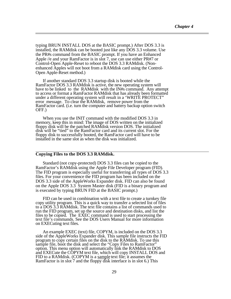<span id="page-33-0"></span>typing BRUN INSTALL DOS at the BASIC prompt.) After DOS 3.3 is installed, the RAMdisk can be booted just like any DOS 3.3 volume. Use the PR#s command from the BASIC prompt. If you have an Enhanced Apple //e and your RamFactor is in slot 7, use can use either PR#7 or Control-Open Apple-Reset to reboot the DOS 3.3 RAMdisk. (Nonenhanced Apples will not boot from a RAMdisk card using the Control-Open Apple-Reset method.)

If another standard DOS 3.3 startup disk is booted while the RamFactor DOS 3.3 RAMdisk is active, the new operating system will have to be linked to the RAMdisk with the IN#s command. Any attempt to access or format a RamFactor RAMdisk that has already been formatted under a different operating system will result in a 'WRITE PROTECT" error message. To clear the RAMdisk, remove power from the RamFactor card. (i.e. turn the computer and battery backup option switch OFF.)

When you use the INIT command with the modified DOS 3.3 in memory, keep this in mind: The image of DOS written on the initialized floppy disk will be the patched RAMdisk version DOS. The initialized disk will be "tied" to the RamFactor card and its current slot. For the floppy disk to successfully booted, the RamFactor card will have to be installed in the same slot as when the disk was initialized.

### **Copying Files to the DOS 3.3 RAMdisk.**

 $\overline{a}$ 

Standard (not copy-protected) DOS 3.3 files can be copied to the RamFactor's RAMdisk using the Apple File Developer program (FID). The FID program is especially useful for transferring all types of DOS 3.3 files. For your convenience the FID program has been included on the DOS 3.3 side of the AppleWorks Expander disk. FID can also be found on the Apple DOS 3.3 System Master disk (FID is a binary program and is executed by typing BRUN FID at the BASIC prompt.)

FID can be used in combination with a text file to create a turnkey file copy utility program. This is a quick way to transfer a selected list of files to a DOS 3.3 RAMdisk. The text file contains a list of commands used to run the FID program, set up the source and destination disks, and list the files to be copied. The EXEC command is used to start processing the text file's commands. See the DOS Users Manual for more information on EXECuting text files.

An example EXEC (text) file, COPYM, is included on the DOS 3.3 side of the AppleWorks Expander disk. This sample file instructs the FID program to copy certain files on the disk to the RAMdisk. To use this sample file, boot the disk and select the "Copy Files to RamFactor" option. This menu option will automatically link the RAMdisk to DOS and EXECute the COPYM text file, which will copy INSTALL DOS and FID to a RAMdisk. (COPYM is a sample text file; it assumes the RamFactor is in slot 7 and the floppy disk interface is in slot 6.) This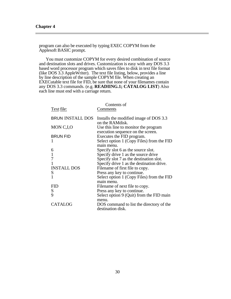program can also be executed by typing EXEC COPYM from the Applesoft BASIC prompt.

You must customize COPYM for every desired combination of source and destination slots and drives. Customization is easy with any DOS 3.3 based word processor program which saves files to disk in text file format (like DOS 3.3 AppleWriter). The text file listing, below, provides a line by line description of the sample COPYM file. When creating an EXECutable text file for FID, be sure that none of your filenames contain any DOS 3.3 commands. (e.g. **READIING.1; CATALOG LIST**) Also each line must end with a carriage return.

|                         | Contents of                               |
|-------------------------|-------------------------------------------|
| Text file:              | Comments                                  |
|                         |                                           |
| <b>BRUN INSTALL DOS</b> | Installs the modified image of DOS 3.3    |
|                         | on the RAM disk.                          |
| MON C,I,O               | Use this line to monitor the program      |
|                         | execution sequence on the screen.         |
| <b>BRUN FID</b>         | Executes the FID program.                 |
|                         | Select option 1 (Copy Files) from the FID |
|                         | main menu.                                |
| 6                       | Specify slot 6 as the source slot.        |
| $\mathbf{1}$            | Specify drive 1 as the source drive       |
| $\boldsymbol{7}$        | Specify slot 7 as the destination slot.   |
|                         | Specify drive 1 as the destination drive. |
| <b>INSTALL DOS</b>      | Filename of first file to copy.           |
| S                       | Press any key to continue.                |
|                         | Select option 1 (Copy Files) from the FID |
|                         | main menu.                                |
| FID                     | Filename of next file to copy.            |
| S                       | Press any key to continue.                |
| 9                       | Select option 9 (Quit) from the FID main  |
|                         | menu.                                     |
| <b>CATALOG</b>          | DOS command to list the directory of the  |
|                         | destination disk.                         |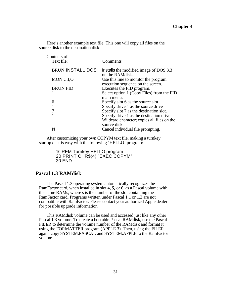Here's another example text file. This one will copy all files on the source disk to the destination disk:

| Contents of<br>Text file: | Comments                                                                                         |
|---------------------------|--------------------------------------------------------------------------------------------------|
| <b>BRUN INSTALL DOS</b>   | Installs the modified image of DOS 3.3                                                           |
| MON C <sub>J</sub> O      | on the RAMdisk.<br>Use this line to monitor the program                                          |
| <b>BRUN FID</b>           | execution sequence on the screen.<br>Executes the FID program.                                   |
|                           | main menu.                                                                                       |
| 6                         | Specify slot 6 as the source slot.                                                               |
|                           |                                                                                                  |
|                           | Specify slot 7 as the destination slot.                                                          |
|                           | Specify drive 1 as the destination drive.                                                        |
|                           | Wildcard character; copies all files on the                                                      |
|                           | Cancel individual file prompting.                                                                |
|                           | Select option 1 (Copy Files) from the FID<br>Specify drive 1 as the source drive<br>source disk. |

After customizing your own COPYM text file, making a turnkey startup disk is easy with the following 'HELLO' program:

> 10 REM Turnkey HELLO program 20 PRINT CHR\$(4);"EXEC COPYM" 30 END

# **Pascal 1.3 RAMdisk**

<span id="page-35-0"></span> $\overline{a}$ 

The Pascal 1.3 operating system automatically recognizes the RamFactor card, when installed in slot 4, *5,* or 6, as a Pascal volume with the name RAMs, where s is the number of the slot containing the RamFactor card. Programs written under Pascal 1.1 or 1.2 are not compatible with RamFactor. Please contact your authorized Apple dealer for possible upgrade information.

This RAMdisk volume can be used and accessed just like any other Pascal 1.3 volume. To create a bootable Pascal RAMdisk, use the Pascal FILER to determine the volume number of the RAMdisk and format it using the FORMATTER program (APPLE 3). Then, using the FILER again, copy SYSTEM.PASCAL and SYSTEM.APPLE to the RamFactor volume.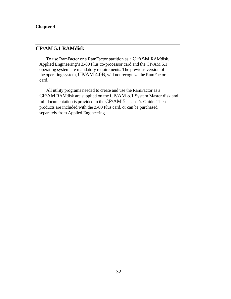<span id="page-36-0"></span>

# **CP/AM 5.1 RAMdisk**

To use RamFactor or a RamFactor partition as a CP/AM RAMdisk, Applied Engineering's Z-80 Plus co-processor card and the CP/AM 5.1 operating system are mandatory requirements. The previous version of the operating system, CP/AM 4.0B, will not recognize the RamFactor card.

All utility programs needed to create and use the RamFactor as a CP/AM RAMdisk are supplied on the CP/AM 5.1 System Master disk and full documentation is provided in the CP/AM 5.1 User's Guide. These products are included with the Z-80 Plus card, or can be purchased separately from Applied Engineering.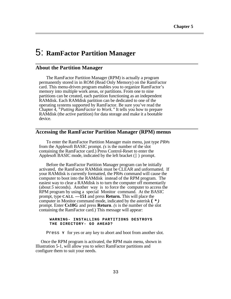# 5: **RamFactor Partition Manager**

# **About the Partition Manager**

<span id="page-37-1"></span><span id="page-37-0"></span> $\overline{a}$ 

 $\overline{a}$ 

 $\overline{a}$ 

The RamFactor Partition Manager (RPM) is actually a program permanently stored in in ROM (Read Only Memory) on the RamFactor card. This menu-driven program enables you to organize RamFactor's memory into multiple work areas, or partitions. From one to nine partitions can be created, each partition functioning as an independent RAMdisk. Each RAMdisk partition can be dedicated to one of the operating systems supported by RamFactor. Be sure you've read the Chapter 4, *"Putting RamFactor to Work."* It tells you how to prepare RAMdisk (the active partition) for data storage and make it a bootable device.

# **Accessing the RamFactor Partition Manager (RPM) menus**

To enter the RamFactor Partition Manager main menu, just type *PR#s*  from the Applesoft BASIC prompt. *(s* is the number of the slot containing the RamFactor card.) Press Control-Reset to enter the Applesoft BASIC mode, indicated by the left bracket (] ) prompt.

Before the RamFactor Partition Manager program can be initially activated, the RamFactor RAMdisk must be CLEAR and unformatted. If your RAMdisk is currently formatted, the PR#s command will cause the computer to boot into the RAMdisk instead of the RPM program. The easiest way to clear a RAMdisk is to turn the computer off momentarily (about *5* seconds). Another way is to force the computer to access the RPM program by using a special Monitor command. At the BASIC prompt, type **CALL —151** and press **Return.** This will place the computer in Monitor command mode, indicated by the asterisk **(** *\* )*  prompt. Enter **Cs10G** and press **Return**. *(s* is the number of the slot containing the RamFactor card.) This message will appear:

### **WARNING- INSTALLING PARTITIONS DESTROYS THE DIRECTORY- GO AHEAD?**

Press **Y** for yes or any key to abort and boot from another slot.

Once the RPM program is activated, the RPM main menu, shown in Illustration 5-1, will allow you to select RamFactor partitions and configure them to suit your needs.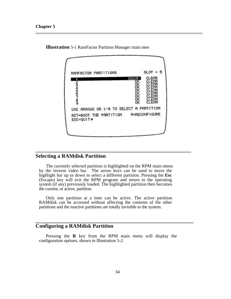$\overline{a}$ 



<span id="page-38-0"></span>**Illustration** 5-1 RamFactor Partition Manager main men

# **Selecting a RAMdisk Partition**

The currently selected partition is highlighted on the RPM main menu by the inverse video bar. The arrow keys can be used to move the highlight bar up or down to select a different partition. Pressing the **Esc** (Escape) key will exit the RPM program and return to the operating system (if any) previously loaded. The highlighted partition then becomes the current, or active, partition.

Only one partition at a time can be active. The active partition RAMdisk can be accessed without affecting the contents of the other partitions and the inactive partitions are totally invisible to the system.

# **Configuring a RAMdisk Partition**

Pressing the **R** key from the RPM main menu will display the configuration options, shown in Illustration 5-2.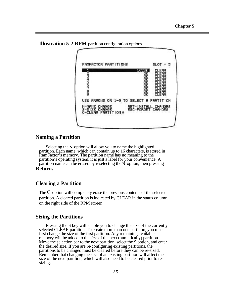



# **Naming a Partition**

 $\overline{a}$ 

 $\overline{a}$ 

 $\overline{a}$ 

 $\overline{a}$ 

Selecting the **N** option will allow you to name the highlighted partition. Each name, which can contain up to 16 characters, is stored in RamFactor's memory. The partition name has no meaning to the partition's operating system, it is just a label for your convenience. A partition name can be erased by reselecting the **N** option, then pressing **Return.**

# **Clearing a Partition**

The **C** option will completely erase the previous contents of the selected partition. A cleared partition is indicated by CLEAR in the status column on the right side of the RPM screen.

# **Sizing the Partitions**

Pressing the S key will enable you to change the size of the currently selected CLEAR partition. To create more than one partition, you must first change the size of the first partition. Any remaining available memory will be added to the size of the next (numerically) partition. Move the selection bar to the next partition, select the S option, and enter the desired size. If you are re-configuring existing partitions, the partitions to be changed must be cleared before they can be re-sized. Remember that changing the size of an existing partition will affect the size of the next partition, which will also need to be cleared prior to resizing.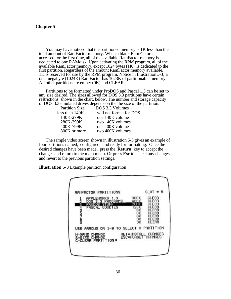You may have noticed that the partitioned memory is 1K less than the total amount of RamFactor memory. When a blank RamFactor is accessed for the first time, all of the available RamFactor memory is dedicated to one RAMdisk. Upon activating the RPM program, all of the available RamFactor memory, except 1024 bytes (1K), is dedicated to the first partition. Regardless of the amount RamFactor memory available, 1K is reserved for use by the RPM program. Notice in Illustration *5-1,* a one megabyte (1024K) RamFactor has 1023K of partitionable memory. All other partitions are empty (0K) and CLEAR.

Partitions to be formatted under ProDOS and Pascal 1.3 can be set to any size desired. The sizes allowed for DOS 3.3 partitions have certain restrictions, shown in the chart, below. The number and storage capacity of DOS 3.3 emulated drives depends on the the size of the partition.

| <b>Partition Size</b> | DOS 3.3 Volumes         |
|-----------------------|-------------------------|
| less than $140K$      | will not format for DOS |
| 140K-279K             | one 140K volume         |
| 280K-399K             | two 140K volumes        |
| 400K-799K             | one 400K volume         |
| 800K or more          | two 400K volumes        |

The sample video screen shown in illustration 5-3 gives an example of four partitions named, configured, and ready for formatting. Once the desired changes have been made, press the **Return** key to accept the changes and return to the main menu. Or press **Esc** to cancel any changes and revert to the previous partition settings.

**Illustration 5-3** Example partition configuration

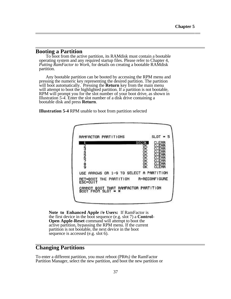# **Booting a Partition**

To boot from the active partition, its RAMdisk must contain a bootable operating system and any required startup files. Please refer to Chapter 4, *Putting RamFactor to Work,* for details on creating a bootable RAMdisk partition.

Any bootable partition can be booted by accessing the RPM menu and pressing the numeric key representing the desired partition. The partition will boot automatically. Pressing the **Return** key from the main menu will attempt to boot the highlighted partition. If a partition is not bootable, RPM will prompt you for the slot number of your boot drive, as shown in Illustration *5-4.* Enter the slot number of a disk drive containing a bootable disk and press **Return**.

**Illustration 5-4** RPM unable to boot from partition selected



**Note to Enhanced Apple //e Users:** If RamFactor is the first device in the boot sequence (e.g. slot 7) a **Control-Open Apple-Reset** command will attempt to boot the active partition, bypassing the RPM menu. If the current partition is not bootable, the next device in the boot sequence is accessed (e.g. slot 6).

# **Changing Partitions**

To enter a different partition, you must reboot (PR#*s)* the RamFactor Partition Manager, select the new partition, and boot the new partition or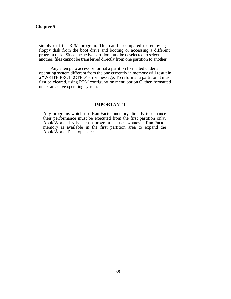simply exit the RPM program. This can be compared to removing a floppy disk from the boot drive and booting or accessing a different program disk. Since the active partition must be deselected to select another, files cannot be transferred directly from one partition to another.

Any attempt to access or format a partition formatted under an operating system different from the one currently in memory will result in a "WRITE PROTECTED' error message. To reformat a partition it must first be cleared, using RPM configuration menu option C, then formatted under an active operating system.

### **IMPORTANT !**

Any programs which use RamFactor memory directly to enhance their performance must be executed from the first partition only. AppleWorks 1.3 is such a program. It uses whatever RamFactor memory is available in the first partition area to expand the AppleWorks Desktop space.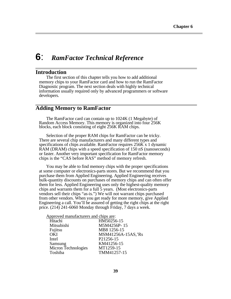# **6**: *RamFactor Technical Reference*

# **Introduction**

<span id="page-43-0"></span> $\overline{a}$ 

 $\overline{a}$ 

 $\overline{a}$ 

The first section of this chapter tells you how to add additional memory chips to your RamFactor card and how to run the RamFactor Diagnostic program. The next section deals with highly technical information usually required only by advanced programmers or software developers.

# **Adding Memory to RamFactor**

The RamFactor card can contain up to 1024K (1 Megabyte) of Random Access Memory. This memory is organized into four 256K blocks, each block consisting of eight 256K RAM chips.

Selection of the proper RAM chips for RamFactor can be tricky. There are several chip manufacturers and many different types and specifications of chips available. RamFactor requires 256K x 1 dynamic RAM (DRAM) chips with a speed specification of 150 nS (nanoseconds) or faster. Another very important specification for RamFactor memory chips is the "CAS before RAS" method of memory refresh.

You may be able to find memory chips with the proper specifications at some computer or electronics-parts stores. But we recommend that you purchase them from Applied Engineering. Applied Engineering receives bulk-quantity discounts on purchases of memory chips and can often offer them for less. Applied Engineering uses only the highest-quality memory chips and warrants them for a full 5 years. (Most electronics-parts vendors sell their chips "as-is.") We will not warrant chips purchased from other vendors. When you get ready for more memory, give Applied Engineering a call. You'll be assured of getting the right chips at the right price. (214) 241-6060 Monday through Friday, 7 days a week.

| Approved manufacturers and chips are: |
|---------------------------------------|
| HM50256-15                            |
| M5M4256P-15                           |
| MB8 1256-15                           |
| MSM41256A-15AS,'Rs                    |
| P21256-15                             |
| KM41256-15                            |
| MT1259-15                             |
| TMM41257-15                           |
|                                       |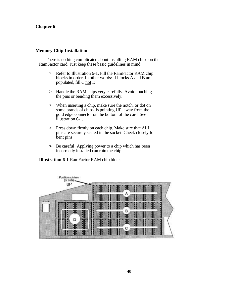# <span id="page-44-0"></span>**Memory Chip Installation**

There is nothing complicated about installing RAM chips on the RamFactor card. Just keep these basic guidelines in mind:

- > Refer to Illustration 6-1. Fill the RamFactor RAM chip blocks in order. In other words: If blocks A and B are populated, fill C not D
- > Handle the RAM chips very carefully. Avoid touching the pins or bending them excessively.
- > When inserting a chip, make sure the notch, or dot on some brands of chips, is pointing UP, away from the gold edge connector on the bottom of the card. See illustration 6-1.
- > Press down firmly on each chip. Make sure that ALL pins are securely seated in the socket. Check closely for bent pins.
- **>** Be careful! Applying power to a chip which has been incorrectly installed can ruin the chip.

### **Illustration 6-1** RamFactor RAM chip blocks

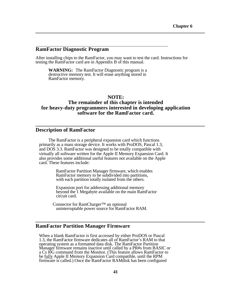# **RamFactor Diagnostic Program**

<span id="page-45-0"></span> $\overline{a}$ 

 $\overline{a}$ 

 $\overline{a}$ 

 $\overline{a}$ 

After installing chips to the RamFactor, you may want to test the card. Instructions for testing the RamFactor card are in Appendix B of this manual.

**WARNING:** The RamFactor Diagnostic program is a destructive memory test. It will erase anything stored in RamFactor memory.

### **NOTE:**

# **The remainder of this chapter is intended for heavy-duty programmers interested in developing application software for the RamFactor card.**

# **Description of RamFactor**

The RamFactor is a peripheral expansion card which functions primarily as a mass storage device. It works with ProDOS, Pascal 1.3, and DOS 3.3. RamFactor was designed to be totally compatible with virtually all software written for the Apple II Memory Expansion Card. It also provides some additional useful features not available on the Apple card. These features include:

> RamFactor Partition Manager firmware, which enables RamFactor memory to be subdivided into partitions, with each partition totally isolated from the others.

Expansion port for addressing additional memory beyond the 1 Megabyte available on the main RamFactor circuit card.

 Connector for RamCharger™ an optional uninterruptable power source for RamFactor RAM.

# **RamFactor Partition Manager Firmware**

When a blank RamFactor is first accessed by either ProDOS or Pascal 1.3, the RamFactor firmware dedicates all of RamFactor's RAM to that operating system as a formatted data disk. The RamFactor Partition Manager firmware remains inactive until called by a PR#s from BASIC or a Cs l0G command from the Monitor. (This feature allows RamFactor to be fully Apple II Memory Expansion Card compatible, until the RPM firmware is called.) Once the RamFactor RAMdisk has been configured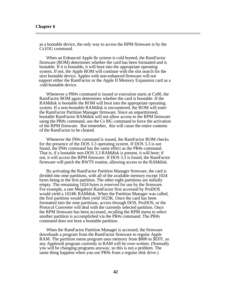as a bootable device, the only way to access the RPM firmware is by the Cs1OG command.

When an Enhanced Apple lle system is cold booted, the RamFactor firmware (ROM) determines whether the card has been formatted and is bootable. If it is bootable, it will boot into the appropriate operating system. If not, the Apple ROM will continue with the slot search for the next bootable device. Apples with non-enhanced firmware will not support either the RamFactor or the Apple II Memory Expansion card as a cold-bootable device.

Whenever a PR#s command is issued or execution starts at Cs00, the RamFactor ROM again determines whether the card is bootable. If the RAMdisk is bootable the ROM will boot into the appropriate operating system. If a non-bootable RAMdisk is encountered, the ROM will enter the RamFactor Partition Manager firmware. Since an unpartitioned, bootable RamFactor RAMdisk will not allow access to the RPM firmware using the PR#s command, use the Cs l0G command to force the activation of the RPM firmware. But remember, this will cause the entire contents of the RamFactor to be cleared.

Whenever the IN#s command is issued, the RamFactor ROM checks for the presence of the DOS 3.3 operating system. If DOS 3.3 is not found, the IN#s command has the same effect as the PR#s command. That is, if a bootable non-DOS 3.3 RAMdisk is present, it will boot; if not, it will access the RPM firmware. If DOS 3.3 is found, the RamFactor firmware will patch the RWTS routine, allowing access to the RAMdisk.

By activating the RamFactor Partition Manager firmware, the card is divided into nine partitions, with all of the available memory except 1024 bytes being in the first partition. The other eight partitions are initially empty. The remaining 1024 bytes is reserved for use by the firmware. For example, a one Megabyte RamFactor first accessed by ProDOS would yield a 1024K RAMdisk. When the Partition Manager was called, the first partition would then yield 1023K. Once the card has been formatted into the nine partitions, access through DOS, ProDOS, or the Protocol Converter will deal with the currently selected partition. Once the RPM firmware has been accessed, recalling the RPM menu to select another partition is accomplished via the PR#s command. The PR#s command does not boot a bootable partition.

When the RamFactor Partition Manager is accessed, the firmware downloads a program from the RamFactor firmware to regular Apple RAM. The partition menu program uses memory from \$800 to \$EFF, so any Applesoft program currently in RAM will be over-written. (Normally you will be changing programs anyway, so this is not a problem. The same thing happens when you use PR#s from a regular disk drive.)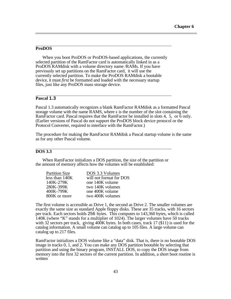### **ProDOS**

<span id="page-47-0"></span> $\overline{a}$ 

 $\overline{a}$ 

 $\overline{a}$ 

When you boot ProDOS or ProDOS-based applications, the currently selected partition of the RamFactor card is automatically linked in as a ProDOS RAMdisk with a volume directory name /RAMs. If you have previously set up partitions on the RamFactor card, it will use the currently selected partition. To make the ProDOS RAMdisk a bootable device, it must *first* be formatted and loaded with the necessary startup files, just like any ProDOS mass storage device.

# **Pascal 1.3**

Pascal 1.3 automatically recognizes a blank RamFactor RAMdisk as a formatted Pascal storage volume with the name RAMS, where *s* is the number of the slot containing the RamFactor card. Pascal requires that the RamFactor be installed in slots 4, 5, or 6 only. (Earlier versions of Pascal do not support the ProDOS block device protocol or the Protocol Converter, required to interface with the RamFactor.)

The procedure for making the RamFactor RAMdisk a Pascal startup volume is the same as for any other Pascal volume.

### **DOS 3.3**

 $\overline{a}$ 

When RamFactor initializes a DOS partition, the size of the partition or the amount of memory affects how the volumes will be established:

| <b>Partition Size</b> | DOS 3.3 Volumes         |
|-----------------------|-------------------------|
| less than 140K        | will not format for DOS |
| 140K-279K             | one 140K volume         |
| 280K-399K             | two 140K volumes        |
| 400K-799K             | one 400K volume         |
| 800K or more          | two 400K volumes        |

The first volume is accessible as Drive 1, the second as Drive 2. The smaller volumes are exactly the same size as standard Apple floppy disks. These are 35 tracks, with 16 sectors per track. Each sectors holds 256 bytes. This computes to 143,360 bytes, which is called 140K (where "K" stands for a multiplier of 1024). The larger volumes have 50 tracks with 32 sectors per track, giving 400K bytes. In both cases, track 17 (\$11) is used for the catalog information. A small volume can catalog up to 105 files. A large volume can catalog up to 217 files.

RamFactor initializes a DOS volume like a "data" disk. That is, there is no bootable DOS image in tracks 0, 1, and 2. You can make any DOS partition bootable by selecting that partition and using the binary program, INSTALL DOS, to copy the DOS image from memory into the first 32 sectors of the current partition. In addition, a short boot routine is written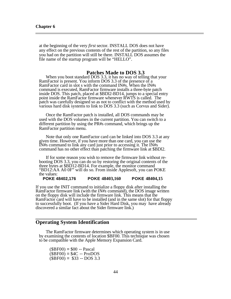$\overline{a}$ 

<span id="page-48-0"></span>at the beginning of the very *first* sector. INSTALL DOS does not have any effect on the previous contents of the rest of the partition, so any files you had on the partition will still be there. INSTALL DOS assumes the file name of the startup program will be "HELLO".

### **Patches Made to DOS 3.3**

When you boot standard DOS 3.3, it has no way of telling that your RamFactor is present. You inform DOS 3.3 of the presence of a RamFactor card in slot s with the command IN#s. When the IN#s command is executed, RamFactor firmware installs a three-byte patch inside DOS. This patch, placed at \$BDl2-BD14, jumps to a special entry point inside the RamFactor firmware whenever RWTS is called. The patch was carefully designed so as not to conflict with the method used by various hard disk systems to link to DOS 3.3 (such as Corvus and Sider).

Once the RamFactor patch is installed, all DOS commands may be used with the DOS volumes in the current partition. You can switch to a different partition by using the PR#s command, which brings up the RamFactor partition menu.

Note that only one RamFactor card can be linked into DOS 3.3 at any given time. However, if you have more than one card, you can use the IN#s command to link any card just prior to accessing it. The IN#s command has no other effect than patching the firmware link at \$BDl2.

If for some reason you wish to remove the firmware link without rebooting DOS 3.3, you can do so by restoring the original contents of the three bytes at \$BD12-BD14. For example, the monitor command "BD12:AA A0 0F" will do so. From inside Applesoft, you can POKE the values:

**POKE 48402,176 POKE 48403,160 POKE 48404,15**

If you use the INIT command to initialize a floppy disk after installing the RamFactor firmware link (with the *IN#s* command), the DOS image written on the floppy disk will include the firmware link. This means that the RamFactor card will have to be installed (and in the same slot) for that floppy to successfully boot. (If you have a Sider Hard Disk, you may have already discovered a similar fact about the Sider firmware link.)

# **Operating System Identification**

The RamFactor firmware determines which operating system is in use by examining the contents of location \$BF00. This technique was chosen to be compatible with the Apple Memory Expansion Card.

 $$BBF00$  = \$00 -- Pascal  $(SBF00) = $4C - ProDOS$  $(SBF00) = $33 - DOS3.3$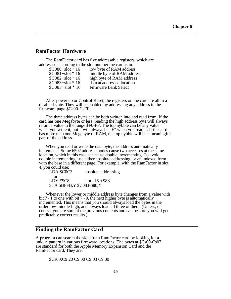# **RamFactor Hardware**

<span id="page-49-0"></span> $\overline{a}$ 

 $\overline{a}$ 

The RamFactor card has five addressable registers, which are addressed according to the slot number the card is in:

| $$C080+slot * 16$   | low byte of RAM address    |
|---------------------|----------------------------|
| $$C081+slot * 16$   | middle byte of RAM address |
| $$C082+slot * 16$   | high byte of RAM address   |
| $$C083 + slot * 16$ | data at addressed location |
| $SC08F + slot * 16$ | Firmware Bank Select       |
|                     |                            |

After power up or Control-Reset, the registers on the card are all in a disabled state. They will be enabled by addressing any address in the firmware page \$Cs00-CsFF.

The three address bytes can be both written into and read from. If the card has one Megabyte or less, reading the high address byte will always return a value in the range \$F0-FF. The top nybble can be any value when you write it, but it will always be "F" when you read it. If the card has more than one Megabyte of RAM, the top nybble will be a meaningful part of the address.

When you read or write the data byte, the address automatically increments. Some 6502 address modes cause two accesses at the same location, which in this case can cause double incrementing. To avoid double incrementing, use either absolute addressing, or an indexed form with the base in a different page. For example, with the RamFactor in slot 4, you could use:

LDA  $$COC3$  absolute addressing or LDY # $$C8$  slot \* 16 + \$88 STA \$BFFB,Y \$C083-\$88,Y

Whenever the lower or middle address byte changes from a value with bit  $7 = 1$  to one with bit  $7 = 0$ , the next higher byte is automatically incremented. This means that you should always load the bytes in the order low-middle-high, and always load all three of them. (Unless, of course, you are sure of the previous contents and can be sure you will get predictably correct results.)

# **Finding the RamFactor Card**

 $\overline{a}$ 

A program can search the slots for a RamFactor card by looking for a unique pattern in various firmware locations. The bytes at \$Cs00-Cs07 are standard for both the Apple Memory Expansion Card and the RamFactor card. They are:

\$Cs00:C9 20 C9 00 C9 03 C9 00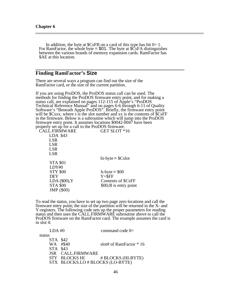<span id="page-50-0"></span>In addition, the byte at  $SCsFB$  on a card of this type has bit  $0=1$ . For RamFactor, the whole byte  $= $01$ . The byte at  $\angle$ GSFA distinguishes between the various brands of memory expansion cards. RamFactor has \$AE at this location.

# **Finding RamFactor's Size**

There are several ways a program can find out the size of the RamFactor card, or the size of the current partition.

If you are using ProDOS, the ProDOS status call can be used. The methods for finding the ProDOS firmware entry point, and for making a status call, are explained on pages 112-115 of Apple's "ProDOS Technical Reference Manual" and on pages 6-6 through 6-11 of Quality Software's "Beneath Apple ProDOS". Briefly, the firmware entry point will be \$Csxx, where s is the slot number and xx is the contents of \$CsFF in the firmware. Below is a subroutine which will jump into the ProDOS firmware entry point. It assumes locations \$0042-0047 have been properly set up for a call to the ProDOS firmware.<br>CALL FIRMWARE GET SLOT \*

| CALL.FIRMWARE    | GET SLOT *16           |
|------------------|------------------------|
| LDA \$43         |                        |
| <b>LSR</b>       |                        |
| <b>LSR</b>       |                        |
| <b>LSR</b>       |                        |
| <b>LSR</b>       |                        |
|                  | $hi$ -byte = $Scdot$   |
| <b>STA \$01</b>  |                        |
| LDY#0            |                        |
| <b>STY \$00</b>  | $b$ -byte = \$00       |
| <b>DEY</b>       | $Y = SFF$              |
| LDA $(\$00)$ , Y | Contents of \$CsFF     |
| <b>STA \$00</b>  | \$00,01 is entry point |
| JMP (\$00)       |                        |
|                  |                        |

To read the status, you have to set up two page zero locations and call the firmware entry point; the size of the partition will be returned in the X- and Y-registers. The following code sets up the proper parameters for reading status and then uses the CALL.FIRMWARE subroutine above to call the ProDOS firmware on the RamFactor card. The example assumes the card is in slot 4:

| LDA#0    |                                  | command code $0=$        |
|----------|----------------------------------|--------------------------|
| status   |                                  |                          |
| STA \$42 |                                  |                          |
|          | WA #\$40                         | slot# of RamFactor $*16$ |
| STA \$43 |                                  |                          |
|          | JSR CALL.FIRMWARE                |                          |
|          | STY BLOCKS HI                    | # BLOCKS (HI-BYTE)       |
|          | STX BLOCKS.LO # BLOCKS (LO-BYTE) |                          |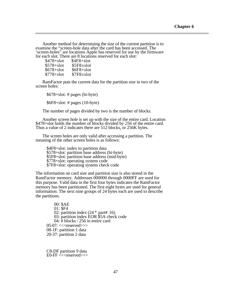Another method for determining the size of the current partition is to examine the "screen-hole data after the card has been accessed. The 'screen-holes" are locations Apple has reserved for use by the firmware for each slot. There are 8 locations reserved for each slot:

| $$478 + slot$ | \$4F8+slot      |
|---------------|-----------------|
| $$578 + slot$ | $$5F8 \pm slot$ |
| $$678 + slot$ | $$6F8 + slot$   |
| $$778 + slot$ | $$7F8 \pm slot$ |

RamFactor puts the current data for the partition size in two of the screen holes:

\$678+slot: # pages (hi-byte)

\$6F8+slot: # pages (10-byte)

The number of pages divided by two is the number of blocks.

Another screen hole is set up with the size of the entire card. Location \$478+slot holds the number of blocks divided by *256* of the entire card. Thus a value of 2 indicates there are 512 blocks, or 256K bytes.

The screen holes are only valid after accessing a partition. The meaning of the other screen holes is as follows:

\$4F8+slot: index to partition data \$578+slot: partition base address (hi-byte) \$5F8+slot: partition base address (mid-byte) \$778+slot: operating system code \$7F8+slot: operating system check code

The information on card size and partition size is also stored in the RamFactor memory. Addresses 000000 through 0000FF are used for this purpose. Valid data in the first four bytes indicates the RamFactor memory has been partitioned. The first eight bytes are used for general information. The next nine groups of 24 bytes each are used to describe the partitions.

00: \$AE 01: \$F4 02: partition index  $(24 * part# 16)$ 03: partition index EOR \$5A check code 04: # blocks / 256 in entire card 05-07:  $<<$ reserved $>>$ 08-1F: partition 1 data 20-37: partition 2 data

C8-DF partition 9 data  $E0$ -FF  $<<$ reserved $>>$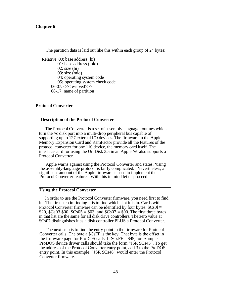<span id="page-52-0"></span>The partition data is laid out like this within each group of 24 bytes: Relative 00: base address (hi) 01: base address (mid) 02: size (hi) 03: size (mid) 04: operating system code 05*:* operating system check code 06-07: $<<$ reserved>>> 08-17: name of partition

### **Protocol Converter**

 $\overline{a}$ 

 $\overline{a}$ 

 $\overline{a}$ 

#### **Description of the Protocol Converter**

The Protocol Converter is a set of assembly language routines which turn the //c disk port into a multi-drop peripheral bus capable of supporting up to 127 external I/O devices. The firmware in the Apple Memory Expansion Card and RamFactor provide all the features of the protocol converter for one 110 device, the memory card itself. The interface card for using the UniDisk 3.5 in an Apple //e also supports a Protocol Converter.

Apple warns against using the Protocol Converter and states, 'using the assembly-language protocol is fairly complicated." Nevertheless, a significant amount of the Apple firmware is used to implement the Protocol Converter features. With this in mind let us proceed.

### **Using the Protocol Converter**

In order to use the Protocol Converter firmware, you need first to find it. The first step in finding it is to find which slot it is in. Cards with Protocol Converter firmware can be identified by four bytes: \$Cs0l = \$20, \$Cs03 \$00, \$Cs05 = \$03, and \$Cs07 = \$00. The first three bytes in that list are the same for all disk drive controllers. The zero value at \$Cs07 distinguishes it as a disk controller PLUS a Protocol Converter.

The next step is to find the entry point in the firmware for Protocol Converter calls. The byte a \$CsFF is the key. That byte is the offset in the firmware page for ProDOS calls. If \$CsFF = \$45, for example, ProDOS device driver calls should take the form "JSR \$Cs45". To get the address of the Protocol Converter entry point, add 3 to the ProDOS entry point. In this example, "JSR \$Cs48" would enter the Protocol Converter firmware.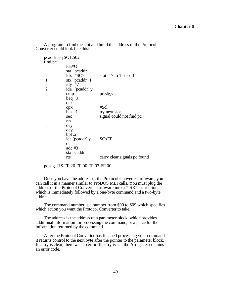A program to find the slot and build the address of the Protocol Converter could look like this:

 $\overline{a}$ 

|         | pcaddr .eq $$O1, $02$ |                              |
|---------|-----------------------|------------------------------|
| find.pc |                       |                              |
|         | lda#O                 |                              |
|         | sta pcaddr            |                              |
|         | ldx #\$C7             | slot = 7 to 1 step -1        |
| $\cdot$ | stx $\text{pcaddr}+1$ |                              |
|         | idy $#7$              |                              |
| .2      | ida (pcaddr), y       |                              |
|         | cmp                   | $pc$ .slg, $y$               |
|         | beq $.3$              |                              |
|         | dex                   |                              |
|         | cpx                   | #\$cl                        |
|         | $bcs$ .1              | try next slot                |
|         | sec                   | signal could not find pc     |
|         | rts                   |                              |
| .3      | dey                   |                              |
|         | dey                   |                              |
|         | bpl. $2$              |                              |
|         | ida (pcaddr), y       | \$CsFF                       |
|         | dc                    |                              |
|         | adc $#3$              |                              |
|         | sta pcaddr            |                              |
|         | rts                   | carry clear signals pc found |
|         |                       |                              |

pc.sig .HS FF.20.FF.00.FF.03.FF.00

Once you have the address of the Protocol Converter firmware, you can call it in a manner similar to ProDOS MLI calls. You must plug the address of the Protocol Converter firmware into a "JSR" instruction, which is immediately followed by a one-byte command and a two-byte address.

The command number is a number from \$00 to \$09 which specifies which action you want the Protocol Converter to take.

The address is the address of a parameter block, which provides additional information for processing the command, or a place for the information returned by the command.

After the Protocol Converter has finished processing your command, it returns control to the next byte after the pointer to the parameter block. If carry is clear, there was no error. If carry is set, the A-register contains an error code.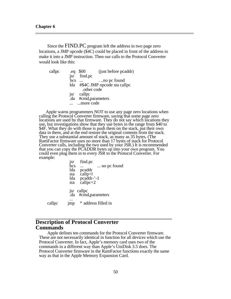$\overline{a}$ 

Since the FIND.PC program left the address in two page zero locations, a JMP opcode (\$4C) could be placed in front of the address to make it into a JMP instruction. Then our calls to the Protocol Converter would look like this:

| callpc | .eq | \$00        | (just before pcaddr)            |
|--------|-----|-------------|---------------------------------|
|        | isr | find.pc     |                                 |
|        | bcs |             | no pc found                     |
|        |     |             | lda #\$4C JMP opcode sta callpc |
|        |     | .other code |                                 |
|        |     | jsr callpc  |                                 |
|        |     |             | .da #cmd,parameters             |
|        |     | more code   |                                 |

Apple warns programmers NOT to use any page zero locations when calling the Protocol Converter firmware, saying that some page zero locations are used by that firmware. They do not say which locations they use, but investigations show that they use bytes in the range from \$40 to \$4F. What they do with those is push them on the stack, put their own data in them, and at the end restore the original contents from the stack. They use a substantial amount of stack, as many as 35 bytes. (The RamFactor firmware uses no more than 17 bytes of stack for Protocol Converter calls, including the two used by your JSR.) It is recommended that you can copy the PCADDR bytes up into your own program. You could even plug them in to every JSR to the Protocol Converter. For example:

|        | <sub>JSr</sub>  | find.pc                       |             |  |
|--------|-----------------|-------------------------------|-------------|--|
|        | Ъсs             |                               | no pc found |  |
|        | lda             | pcaddr                        |             |  |
|        | sta             | $calip+1$                     |             |  |
|        |                 | lda pcaddr-'-1                |             |  |
|        | sta             | $callop+2$                    |             |  |
|        | .da             | jsr callpc<br>#cmd,parameters |             |  |
| callpc | 1 <sub>mp</sub> | * address filled in           |             |  |

# **Description of Protocol Converter Commands**

Apple defines ten commands for the Protocol Converter firmware. These are not necessarily identical in function for all devices which use the Protocol Converter. In fact, Apple's memory card uses two of the commands in a different way than Apple's UniDisk 3.5 does. The Protocol Converter firmware in the RamFactor functions exactly the same way as that in the Apple Memory Expansion Card.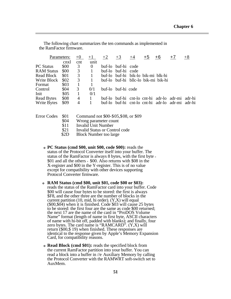|                   | Parameters: | $+0$           | $+1$                                 | $+2$ | $+3$                               | $+4$ | $+5$ | +6                                  | $+7$                                             | $+8$ |
|-------------------|-------------|----------------|--------------------------------------|------|------------------------------------|------|------|-------------------------------------|--------------------------------------------------|------|
|                   | cnxl        | cnt            | unit                                 |      |                                    |      |      |                                     |                                                  |      |
| <b>PC Status</b>  | \$00        | 3              | $\theta$                             |      | buf-lo buf-hi code                 |      |      |                                     |                                                  |      |
| <b>RAM Status</b> | \$00        | $\overline{3}$ | $\mathbf{1}$                         |      | buf-lo buf-hi code                 |      |      |                                     |                                                  |      |
| Read Block        | \$01        | $\overline{3}$ | $\begin{array}{c} 1 \end{array}$     |      | buf-lo buf-hi bik-lo bik-mi blk-hi |      |      |                                     |                                                  |      |
| Write Block       | \$02        | 3              | $\sim$ 1                             |      |                                    |      |      | buf-lo buf-hi bllc-lo bik-mi bik-hi |                                                  |      |
| Format            | \$03        | $\overline{1}$ |                                      |      |                                    |      |      |                                     |                                                  |      |
| Control           | \$04        | 3              | 0/1                                  |      | buf-lo buf-hi code                 |      |      |                                     |                                                  |      |
| Init              | \$05        | -1             | 0/1                                  |      |                                    |      |      |                                     |                                                  |      |
| <b>Read Bytes</b> | \$08        | $\overline{4}$ | $\begin{array}{ccc} & 1 \end{array}$ |      |                                    |      |      |                                     | buf-lo buf-hi cnt-lo cnt-hi adr-lo adr-mi adr-hi |      |
| Write Bytes       | \$09        | 4              | -1                                   |      |                                    |      |      |                                     | buf-lo buf-hi cnt-lo cnt-hi adr-lo adr-mi adr-hi |      |
|                   |             |                |                                      |      |                                    |      |      |                                     |                                                  |      |

The following chart summarizes the ten commands as implemented in the RamFactor firmware.

 $\overline{a}$ 

| Error Codes \$01 |  | Command not \$00-\$05, \$08, or \$09 |  |
|------------------|--|--------------------------------------|--|
|------------------|--|--------------------------------------|--|

- \$04 Wrong parameter count<br>\$11 Invalid Unit Number
- \$11 Invalid Unit Number<br>\$21 Invalid Status or Con
- \$21 Invalid Status or Control code<br>\$2D Block Number too large
- **Block Number too large**
- **<sup>o</sup> PC Status (cmd \$00, unit \$00, code \$00):** reads the status of the Protocol Converter itself into your buffer. The status of the RamFactor is always 8 bytes, with the first byte <sup>=</sup> \$01 and all the others = \$00. Also returns with \$08 in the X-register and \$00 in the Y-register. This is of no value except for compatibility with other devices supporting Protocol Converter firmware.
- **<sup>o</sup> RAM Status (cmd \$00, unit \$01, code \$00 or \$03):** reads the status of the RamFactor card into your buffer. Code \$00 will cause four bytes to be stored: the first is always \$F8, and the other three are the number of blocks in the current partition  $(10, mid, hi, order)$ .  $(Y,X)$  will equal (\$00,\$04) when it is finished. Code \$03 will cause 25 bytes to be stored: the first four are the same as code \$00 returned; the next 17 are the name of the card in "ProDOS Volume Name" format (length of name in first byte, ASCII characters of name with hi-bit off, padded with blanks); and finally, four zero bytes. The card name is "RAMCARD". (Y,X) will return (\$00,\$ 19) when finished. These responses are identical to the response given by Apple's Memory Expansion Card, for compatibility reasons.
- **<sup>o</sup> Read Block (cmd \$01):** reads the specified block from the current RamFactor partition into your buffer. You can read a block into a buffer in //e Auxiliary Memory by calling the Protocol Converter with the RAMWRT soft-switch set to AuxMem.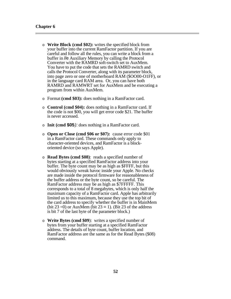- o **Write Block (cmd \$02):** writes the specified block from your buffer into the current RamFactor partition. If you are careful and follow all the rules, you can write a block from a buffer in //e Auxiliary Memory by calling the Protocol Converter with the RAMRD soft-switch set to AuxMem. You have to put the code that sets the RAMRD switch and calls the Protocol Converter, along with its parameter block, into page zero or one of motherboard RAM (\$OO00-O1FF), or in the language card RAM area. Or, you can have both RAMRD and RAMWRT set for AuxMem and be executing a program from within AuxMem.
- o Format **(cmd \$03):** does nothing in a RamFactor card.
- o **Control (cmd \$04):** does nothing in a RamFactor card. If the code is not \$00, you will get error code \$21. The buffer is never accessed.
- o **Init (cmd \$05***):* does nothing in a RamFactor card.
- o **Open or Close (cmd \$06 or \$07):** cause error code \$01 in a RamFactor card. These commands only apply to character-oriented devices, and RamFactor is a blockoriented device (so says Apple).
- o **Read Bytes (cmd \$08)**: reads a specified number of bytes starting at a specified RamFactor address into your buffer. The byte count may be as high as \$FFFF, but this would obviously wreak havoc inside your Apple. No checks are made inside the protocol firmware for reasonableness of the buffer address or the byte count, so be careful. The RamFactor address may be as high as \$7FFFFF. This corresponds to a total of 8 megabytes, which is only half the maximum capacity of a RamFactor card. Apple has arbitrarily limited us to this maximum, because they use the top bit of the card address to specify whether the buffer is in MainMem (bit 23 = 0) or AuxMem (bit  $23 = 1$ ). (Bit 23 of the address is bit 7 of the last byte of the parameter block.)
- o **Write Bytes (cmd \$09**): writes a specified number of bytes from your buffer starting at a specified RamFactor address. The details of byte count, buffer location, and RamFactor address are the same as for the Read Bytes (\$08) command.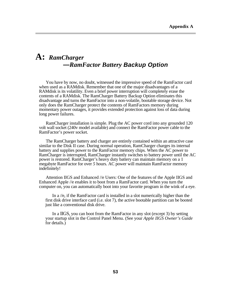# **A:** *RamCharger* **—***RamFactor Battery Backup Option*

 $\overline{a}$ 

You have by now, no doubt, witnessed the impressive speed of the RamFactor card when used as a RAMdisk. Remember that one of the major disadvantages of a RAMdisk is its volatility. Even a brief power interruption will completely erase the contents of a RAMdisk. The RamCharger Battery Backup Option eliminates this disadvantage and turns the RamFactor into a non-volatile, bootable storage device. Not only does the RamCharger protect the contents of RamFactors memory during momentary power outages, it provides extended protection against loss of data during long power failures.

<span id="page-57-0"></span>RamCharger installation is simple. Plug the AC power cord into any grounded 120 volt wall socket (240v model available) and connect the RamFactor power cable to the RamFactor's power socket.

The RamCharger battery and charger are entirely contained within an attractive case similar to the Disk II case. During normal operation, RamCharger charges its internal battery and supplies power to the RamFactor memory chips. When the AC power to RamCharger is interrupted, RamCharger instantly switches to battery power until the AC power is restored. RamCharger's heavy duty battery can maintain memory on a 1 megabyte RamFactor for over *5* hours. AC power will maintain RamFactor memory indefinitely!

Attention IIGS and Enhanced //e Users: One of the features of the Apple IIGS and Enhanced Apple //e enables it to boot from a RamFactor card. When you turn the computer on, you can automatically boot into your favorite program in the wink of a eye.

In a //e, if the RamFactor card is installed in a slot numerically higher than the first disk drive interface card (i.e. slot 7), the active bootable partition can be booted just like a conventional disk drive.

In a IIGS, you can boot from the RamFactor in any slot (except 3) by setting your startup slot in the Control Panel Menu. (See your *Apple IIGS Owner's Guide*  for details.)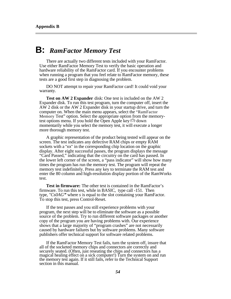# **B:** *RamFactor Memory Test*

There are actually two different tests included with your RamFactor. Use either RamFactor Memory Test to verify the basic operation and hardware reliability of the RamFactor card. If you encounter problems when running a program that you feel relate to RamFactor memory, these tests are a good first step in diagnosing the problem.

DO NOT attempt to repair your RamFactor card! It could void your warranty.

**Test on AW 2 Expander** disk: One test is included on the AW 2 Expander disk. To run this test program, turn the computer off, insert the AW 2 disk or the AW 2 Expander disk in your startup drive, and turn the computer on. When the main menu appears, select the "RamFactor Memory Test" option. Select the appropriate option from the memorytest options menu. If you hold the Open Apple key  $\circled{1}$  down momentarily while you select the memory test, it will execute a longer more thorough memory test.

<span id="page-58-0"></span>A graphic representation of the product being tested will appear on the screen. The test indicates any defective RAM chips or empty RAM sockets with a "xx" in the corresponding chip location on the graphic display. After eight successful passes, the program displays the message "Card Passed," indicating that the circuitry on the card has passed. In the lower left corner of the screen, a "pass indicator" will show how many times the program has run the memory test. The program will repeat the memory test indefinitely. Press any key to terminate the RAM test and enter the 80 column and high-resolution display portion of the RamWorks test.

**Test in firmware:** The other test is contained in the RamFactor's firmware. To run this test, while in BASIC, type call -151. Then type, *"Cs0AG"* where *s* is equal to the slot containing your RamFactor. To stop this test, press Control-Reset.

If the test passes and you still experience problems with your program, the next step will be to eliminate the software as a possible source of the problem. Try to run different software packages or another copy of the program you are having problems with. Our experience shows that a large majority of "program crashes" are not necessarily caused by hardware failures but by software problems. Many software publishers offer technical support for software related problems.

If the RamFactor Memory Test fails, turn the system off, insure that all of the socketed memory chips and connectors are correctly and securely seated. (Often, just reseating the chips and connectors has a magical healing effect on a sick computer!) Turn the system on and run the memory test again. If it still fails, refer to the Technical Support section in this manual.